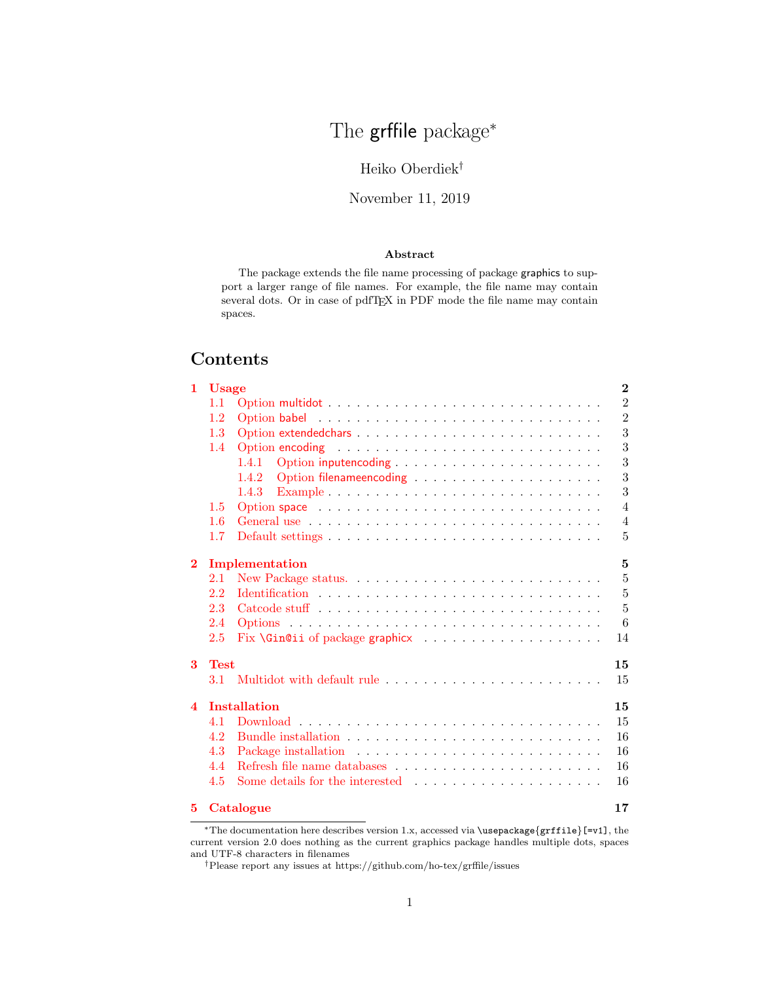# The grffile package<sup>\*</sup>

### Heiko Oberdiek†

### November 11, 2019

#### Abstract

The package extends the file name processing of package graphics to support a larger range of file names. For example, the file name may contain several dots. Or in case of pdfTEX in PDF mode the file name may contain spaces.

## Contents

| 1                      | <b>Usage</b> |                                                                                                 | $\bf{2}$       |
|------------------------|--------------|-------------------------------------------------------------------------------------------------|----------------|
|                        | 1.1          |                                                                                                 | $\overline{2}$ |
|                        | $1.2\,$      |                                                                                                 | $\overline{2}$ |
|                        | 1.3          |                                                                                                 | 3              |
|                        | 1.4          |                                                                                                 | 3              |
|                        |              | 1.4.1                                                                                           | 3              |
|                        |              | 1.4.2                                                                                           | 3              |
|                        |              | 1.4.3<br>Example $\ldots \ldots \ldots \ldots \ldots \ldots \ldots \ldots \ldots \ldots \ldots$ | 3              |
|                        | 1.5          |                                                                                                 | 4              |
|                        | $1.6\,$      |                                                                                                 | $\overline{4}$ |
|                        | $1.7\,$      |                                                                                                 | 5              |
| $\bf{2}$               |              | Implementation                                                                                  | 5              |
|                        | 2.1          |                                                                                                 | 5              |
|                        | 2.2          |                                                                                                 | $\overline{5}$ |
|                        | 2.3          |                                                                                                 | $\overline{5}$ |
|                        | 2.4          |                                                                                                 | 6              |
|                        | 2.5          |                                                                                                 | 14             |
|                        |              |                                                                                                 |                |
| 3                      | <b>Test</b>  |                                                                                                 | 15             |
|                        | 3.1          |                                                                                                 | 15             |
| $\boldsymbol{\Lambda}$ |              | <b>Installation</b>                                                                             | 15             |
|                        | 4.1          |                                                                                                 | 15             |
|                        | 4.2          |                                                                                                 | 16             |
|                        | 4.3          |                                                                                                 | 16             |
|                        | 4.4          |                                                                                                 | 16             |
|                        | 4.5          |                                                                                                 | 16             |
| 5.                     |              | Catalogue                                                                                       | 17             |

<sup>∗</sup>The documentation here describes version 1.x, accessed via \usepackage{grffile}[=v1], the current version 2.0 does nothing as the current graphics package handles multiple dots, spaces and UTF-8 characters in filenames

†Please report any issues at https://github.com/ho-tex/grffile/issues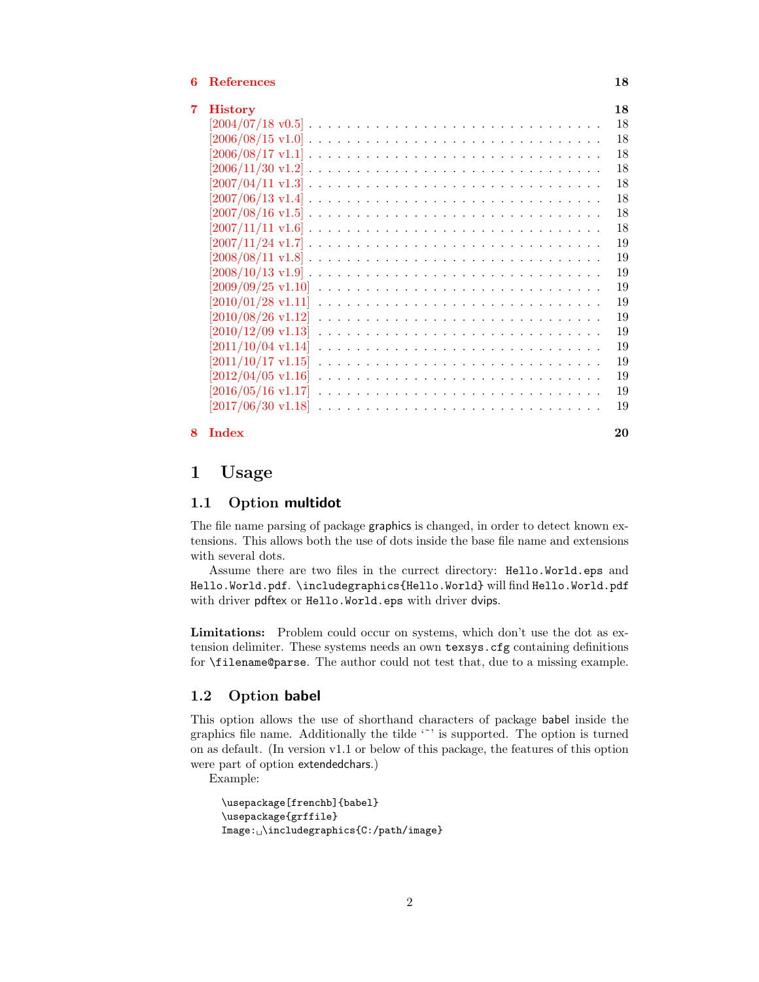#### [6 References](#page-17-0) 18

| 7. | <b>History</b>                   | 18 |
|----|----------------------------------|----|
|    |                                  | 18 |
|    |                                  | 18 |
|    |                                  | 18 |
|    |                                  | 18 |
|    |                                  | 18 |
|    |                                  | 18 |
|    |                                  | 18 |
|    |                                  | 18 |
|    |                                  | 19 |
|    |                                  | 19 |
|    |                                  | 19 |
|    | $[2009/09/25 \text{ v}1.10]$     | 19 |
|    | $[2010/01/28 \text{ v}1.11]$     | 19 |
|    | $[2010/08/26 \;\mathrm{v}1.12]$  | 19 |
|    | $[2010/12/09 \; \mathrm{v}1.13]$ | 19 |
|    | $[2011/10/04 \text{ v}1.14]$     | 19 |
|    | $[2011/10/17 \text{ v}1.15]$     | 19 |
|    |                                  | 19 |
|    | $[2016/05/16 \; \mathrm{v}1.17]$ | 19 |
|    |                                  | 19 |
| 8. | Index                            | 20 |

#### <span id="page-1-0"></span>1 Usage

#### <span id="page-1-1"></span>1.1 Option multidot

The file name parsing of package graphics is changed, in order to detect known extensions. This allows both the use of dots inside the base file name and extensions with several dots.

Assume there are two files in the currect directory: Hello.World.eps and Hello.World.pdf. \includegraphics{Hello.World} will find Hello.World.pdf with driver pdftex or Hello.World.eps with driver dvips.

Limitations: Problem could occur on systems, which don't use the dot as extension delimiter. These systems needs an own texsys.cfg containing definitions for \filename@parse. The author could not test that, due to a missing example.

#### <span id="page-1-2"></span>1.2 Option babel

This option allows the use of shorthand characters of package babel inside the graphics file name. Additionally the tilde '"' is supported. The option is turned on as default. (In version v1.1 or below of this package, the features of this option were part of option extendedchars.)

Example:

```
\usepackage[frenchb]{babel}
\usepackage{grffile}
\verb|Image:_\cup\includegraphics[0.25cm]{Figs/2}+ \verb|Inage:_\cup\includegraphics[0.25cm]{Figs/2}+ \verb|Inage:_\cup\includegraphics[0.25cm]{Figs/2}+ \verb|Inage:_\cup\includegraphics[0.25cm]{Figs/2}+ \verb|Inage:_\cup\includegraphics[0.25cm]{Figs/2}+ \verb|Inage:_\cup\includegraphics[0.25cm]{Figs/2}+ \verb|Inage:_\cup\includegraphics[0.25cm]{Figs/2}+ \verb|Inage:_\cup\includegraphics[0.25cm]{Figs/2}+ \verb|Inage:_\cup\includegraphics[0.25cm]{Figs/2}+ \verb|Inage
```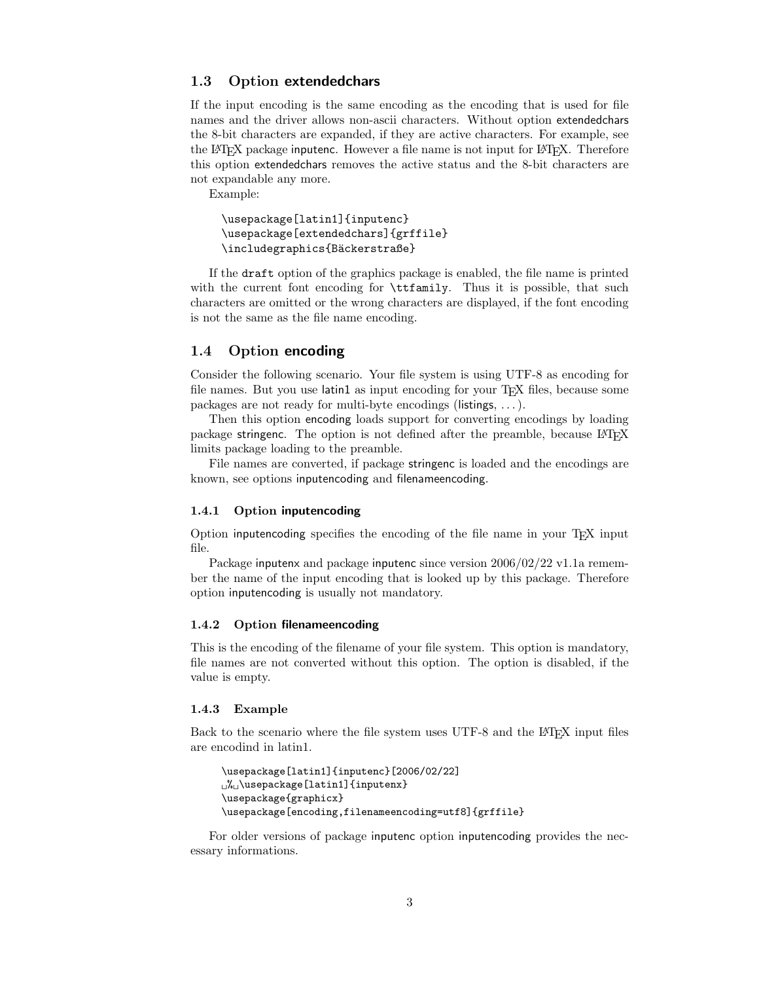#### <span id="page-2-0"></span>1.3 Option extendedchars

If the input encoding is the same encoding as the encoding that is used for file names and the driver allows non-ascii characters. Without option extendedchars the 8-bit characters are expanded, if they are active characters. For example, see the LATEX package inputenc. However a file name is not input for LATEX. Therefore this option extendedchars removes the active status and the 8-bit characters are not expandable any more.

Example:

```
\usepackage[latin1]{inputenc}
\usepackage[extendedchars]{grffile}
\includegraphics{Bäckerstraße}
```
If the draft option of the graphics package is enabled, the file name is printed with the current font encoding for  $\tt tffamily$ . Thus it is possible, that such characters are omitted or the wrong characters are displayed, if the font encoding is not the same as the file name encoding.

#### <span id="page-2-1"></span>1.4 Option encoding

Consider the following scenario. Your file system is using UTF-8 as encoding for file names. But you use latin1 as input encoding for your T<sub>E</sub>X files, because some packages are not ready for multi-byte encodings (listings, . . . ).

Then this option encoding loads support for converting encodings by loading package stringenc. The option is not defined after the preamble, because LAT<sub>E</sub>X limits package loading to the preamble.

File names are converted, if package stringenc is loaded and the encodings are known, see options inputencoding and filenameencoding.

#### <span id="page-2-2"></span>1.4.1 Option inputencoding

Option inputencoding specifies the encoding of the file name in your TEX input file.

Package inputenx and package inputenc since version  $2006/02/22 \text{ v}$ 1.1a remember the name of the input encoding that is looked up by this package. Therefore option inputencoding is usually not mandatory.

#### <span id="page-2-3"></span>1.4.2 Option filenameencoding

This is the encoding of the filename of your file system. This option is mandatory, file names are not converted without this option. The option is disabled, if the value is empty.

#### <span id="page-2-4"></span>1.4.3 Example

Back to the scenario where the file system uses UTF-8 and the LATEX input files are encodind in latin1.

```
\usepackage[latin1]{inputenc}[2006/02/22]
\mathcal{N}_{\cup} \usepackage [latin1] {inputenx}
\usepackage{graphicx}
\usepackage[encoding,filenameencoding=utf8]{grffile}
```
For older versions of package inputenc option inputencoding provides the necessary informations.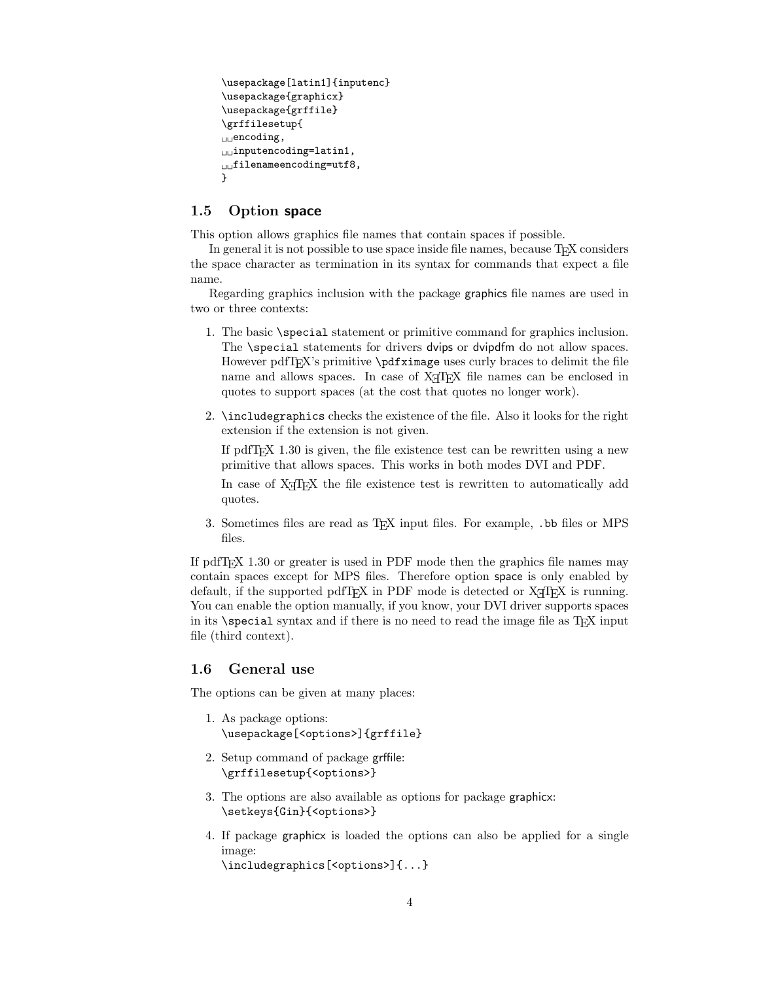```
\usepackage[latin1]{inputenc}
\usepackage{graphicx}
\usepackage{grffile}
\grffilesetup{
_{\cup\cup}encoding,
\Boxinputencoding=latin1,
L_{\text{L}}filenameencoding=utf8,
}
```
### <span id="page-3-0"></span>1.5 Option space

This option allows graphics file names that contain spaces if possible.

In general it is not possible to use space inside file names, because T<sub>EX</sub> considers the space character as termination in its syntax for commands that expect a file name.

Regarding graphics inclusion with the package graphics file names are used in two or three contexts:

- 1. The basic \special statement or primitive command for graphics inclusion. The \special statements for drivers dvips or dvipdfm do not allow spaces. However pdfT<sub>E</sub>X's primitive \pdfximage uses curly braces to delimit the file name and allows spaces. In case of X<sub>T</sub>T<sub>F</sub>X file names can be enclosed in quotes to support spaces (at the cost that quotes no longer work).
- 2. \includegraphics checks the existence of the file. Also it looks for the right extension if the extension is not given.

If pdfT<sub>E</sub>X  $1.30$  is given, the file existence test can be rewritten using a new primitive that allows spaces. This works in both modes DVI and PDF.

In case of X<sub>T</sub>T<sub>E</sub>X the file existence test is rewritten to automatically add quotes.

3. Sometimes files are read as TEX input files. For example, .bb files or MPS files.

If pdfTEX 1.30 or greater is used in PDF mode then the graphics file names may contain spaces except for MPS files. Therefore option space is only enabled by default, if the supported pdfT<sub>E</sub>X in PDF mode is detected or  $X \nsubseteq T$ F<sub>E</sub>X is running. You can enable the option manually, if you know, your DVI driver supports spaces in its  $\text{special syntax}$  and if there is no need to read the image file as T<sub>E</sub>X input file (third context).

#### <span id="page-3-1"></span>1.6 General use

The options can be given at many places:

- 1. As package options: \usepackage[<options>]{grffile}
- 2. Setup command of package grffile: \grffilesetup{<options>}
- 3. The options are also available as options for package graphicx: \setkeys{Gin}{<options>}
- 4. If package graphicx is loaded the options can also be applied for a single image:

\includegraphics[<options>]{...}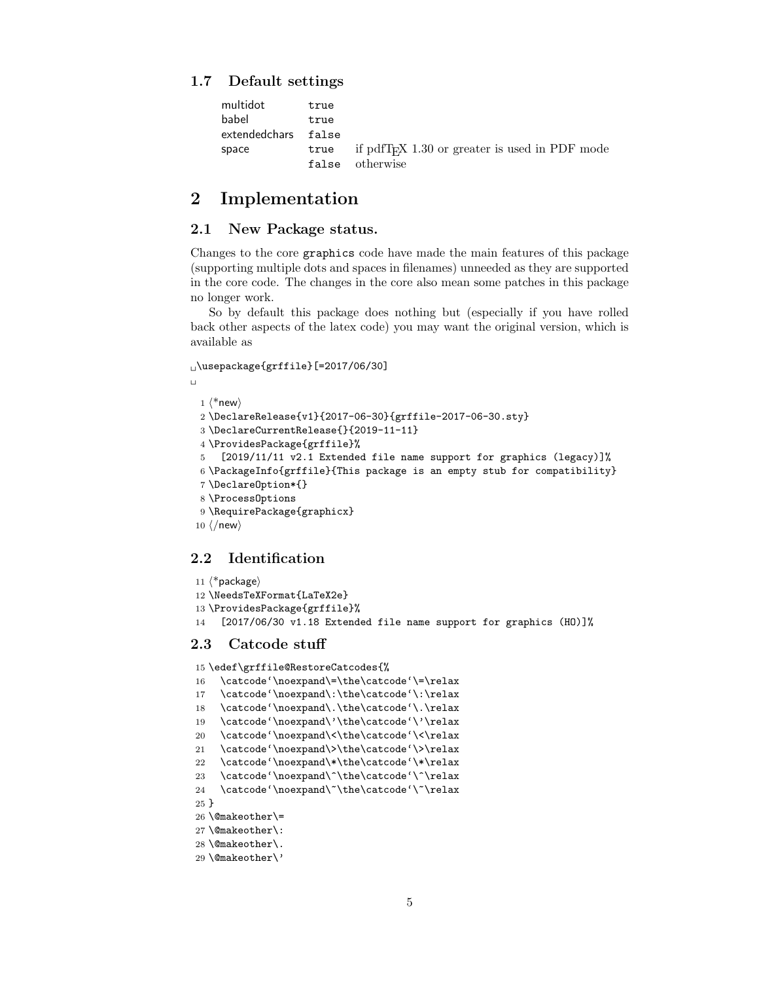#### <span id="page-4-0"></span>1.7 Default settings

| multidot      | true  |                                                                   |
|---------------|-------|-------------------------------------------------------------------|
| babel         | true  |                                                                   |
| extendedchars | false |                                                                   |
| space         |       | true if pdfT <sub>F</sub> $X$ 1.30 or greater is used in PDF mode |
|               |       | false otherwise                                                   |

### <span id="page-4-1"></span>2 Implementation

#### <span id="page-4-2"></span>2.1 New Package status.

Changes to the core graphics code have made the main features of this package (supporting multiple dots and spaces in filenames) unneeded as they are supported in the core code. The changes in the core also mean some patches in this package no longer work.

So by default this package does nothing but (especially if you have rolled back other aspects of the latex code) you may want the original version, which is available as

\usepackage{grffile}[=2017/06/30]

```
\Box1 \langle*new\rangle2 \DeclareRelease{v1}{2017-06-30}{grffile-2017-06-30.sty}
 3 \DeclareCurrentRelease{}{2019-11-11}
 4 \ProvidesPackage{grffile}%
 5 [2019/11/11 v2.1 Extended file name support for graphics (legacy)]%
 6 \PackageInfo{grffile}{This package is an empty stub for compatibility}
 7 \DeclareOption*{}
 8 \ProcessOptions
 9 \RequirePackage{graphicx}
10 \langle/new\rangle
```
### <span id="page-4-27"></span><span id="page-4-24"></span><span id="page-4-19"></span><span id="page-4-3"></span>2.2 Identification

```
11 \langle*package\rangle12 \NeedsTeXFormat{LaTeX2e}
13 \ProvidesPackage{grffile}%
14 [2017/06/30 v1.18 Extended file name support for graphics (HO)]%
```
#### <span id="page-4-4"></span>2.3 Catcode stuff

<span id="page-4-21"></span>15 \edef\grffile@RestoreCatcodes{%

```
16 \catcode'\noexpand\=\the\catcode'\=\relax
```

```
17 \catcode'\noexpand\:\the\catcode'\:\relax
```

```
18 \catcode'\noexpand\.\the\catcode'\.\relax
```

```
19 \catcode'\noexpand\'\the\catcode'\'\relax
```

```
20 \catcode'\noexpand\<\the\catcode'\<\relax
```

```
21 \catcode'\noexpand\>\the\catcode'\>\relax
```

```
22 \catcode'\noexpand\*\the\catcode'\*\relax
```

```
23 \catcode'\noexpand\^\the\catcode'\^\relax
```

```
24 \catcode'\noexpand\~\the\catcode'\~\relax
```

```
25 }
```

```
26 \@makeother\=
```

```
27 \@makeother\:
```

```
28 \@makeother\.
```

```
29 \@makeother\'
```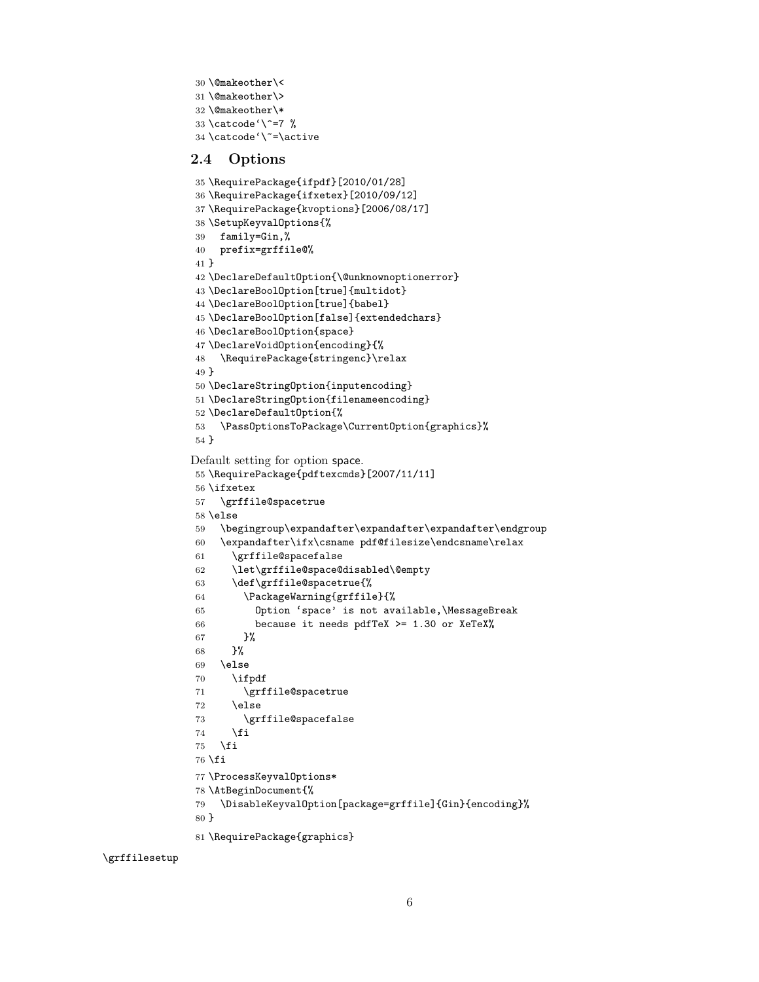```
30 \@makeother\<
31 \@makeother\>
32 \@makeother\*
33 \catcode'\^=7 %
34 \catcode'\~=\active
```
#### <span id="page-5-7"></span><span id="page-5-6"></span><span id="page-5-0"></span>2.4 Options

```
35 \RequirePackage{ifpdf}[2010/01/28]
36 \RequirePackage{ifxetex}[2010/09/12]
37 \RequirePackage{kvoptions}[2006/08/17]
38 \SetupKeyvalOptions{%
39 family=Gin,%
40 prefix=grffile@%
41 }
42 \DeclareDefaultOption{\@unknownoptionerror}
43 \DeclareBoolOption[true]{multidot}
44 \DeclareBoolOption[true]{babel}
45 \DeclareBoolOption[false]{extendedchars}
46 \DeclareBoolOption{space}
47 \DeclareVoidOption{encoding}{%
48 \RequirePackage{stringenc}\relax
49 }
50 \DeclareStringOption{inputencoding}
51 \DeclareStringOption{filenameencoding}
52 \DeclareDefaultOption{%
53 \PassOptionsToPackage\CurrentOption{graphics}%
54 }
Default setting for option space.
55 \RequirePackage{pdftexcmds}[2007/11/11]
56 \ifxetex
57 \grffile@spacetrue
58 \else
59 \begingroup\expandafter\expandafter\expandafter\endgroup
60 \expandafter\ifx\csname pdf@filesize\endcsname\relax
61 \grffile@spacefalse
62 \let\grffile@space@disabled\@empty
63 \def\grffile@spacetrue{%
64 \PackageWarning{grffile}{%
65 Option 'space' is not available,\MessageBreak
66 because it needs pdfTeX >= 1.30 or XeTeX%
67 }%
68 }%
69 \else
70 \ifpdf
71 \grffile@spacetrue
72 \else
73 \grffile@spacefalse
74 \fi
75 \fi
76 \fi
77 \ProcessKeyvalOptions*
78 \AtBeginDocument{%
79 \DisableKeyvalOption[package=grffile]{Gin}{encoding}%
```
<span id="page-5-25"></span>\grffilesetup

<span id="page-5-30"></span><span id="page-5-29"></span><span id="page-5-28"></span><span id="page-5-26"></span><span id="page-5-24"></span><span id="page-5-23"></span><span id="page-5-22"></span><span id="page-5-21"></span><span id="page-5-20"></span><span id="page-5-19"></span><span id="page-5-9"></span><span id="page-5-8"></span><span id="page-5-4"></span>}

<span id="page-5-36"></span>\RequirePackage{graphics}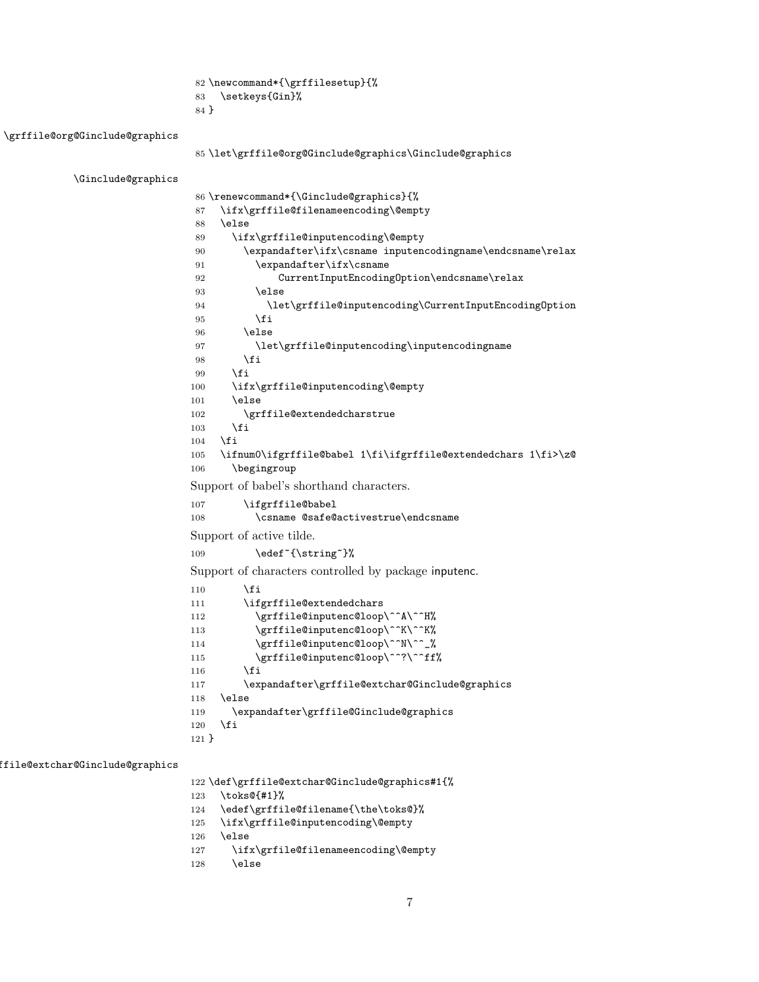<span id="page-6-28"></span><span id="page-6-26"></span> \newcommand\*{\grffilesetup}{% \setkeys{Gin}% }

<span id="page-6-22"></span>\grffile@org@Ginclude@graphics

```
85 \let\grffile@org@Ginclude@graphics\Ginclude@graphics
```
<span id="page-6-15"></span>\Ginclude@graphics

<span id="page-6-27"></span><span id="page-6-23"></span><span id="page-6-21"></span><span id="page-6-18"></span><span id="page-6-13"></span><span id="page-6-12"></span><span id="page-6-10"></span><span id="page-6-9"></span><span id="page-6-2"></span><span id="page-6-1"></span><span id="page-6-0"></span> \renewcommand\*{\Ginclude@graphics}{% \ifx\grffile@filenameencoding\@empty  $\lambda$ else \ifx\grffile@inputencoding\@empty \expandafter\ifx\csname inputencodingname\endcsname\relax 91 \expandafter\ifx\csname CurrentInputEncodingOption\endcsname\relax 93 \else \let\grffile@inputencoding\CurrentInputEncodingOption  $95 \overline{\ } \}$  \else \let\grffile@inputencoding\inputencodingname 98 \fi 99 \fi \ifx\grffile@inputencoding\@empty 101 \else \grffile@extendedcharstrue \fi \fi \ifnum0\ifgrffile@babel 1\fi\ifgrffile@extendedchars 1\fi>\z@ \begingroup Support of babel's shorthand characters. \ifgrffile@babel 108 \csname @safe@activestrue\endcsname Support of active tilde. 109 \edef<sup>~{\string~}%</sup> Support of characters controlled by package inputenc. \fi \ifgrffile@extendedchars 112 \grffile@inputenc@loop\^^A\^^H% 113 \grffile@inputenc@loop\^^K\^^K% 114 \grffile@inputenc@loop\^^N\^^\_% 115 \grffile@inputenc@loop\^^?\^^ff% \fi \expandafter\grffile@extchar@Ginclude@graphics \else \expandafter\grffile@Ginclude@graphics  $\forall$ i }

<span id="page-6-17"></span>ffile@extchar@Ginclude@graphics

<span id="page-6-25"></span><span id="page-6-24"></span><span id="page-6-20"></span><span id="page-6-16"></span><span id="page-6-11"></span><span id="page-6-8"></span><span id="page-6-7"></span><span id="page-6-6"></span><span id="page-6-5"></span>\def\grffile@extchar@Ginclude@graphics#1{%

- <span id="page-6-29"></span>\toks@{#1}%
- <span id="page-6-19"></span>\edef\grffile@filename{\the\toks@}%
- <span id="page-6-3"></span>\ifx\grffile@inputencoding\@empty

\else

- <span id="page-6-4"></span>\ifx\grfile@filenameencoding\@empty
- 128 \else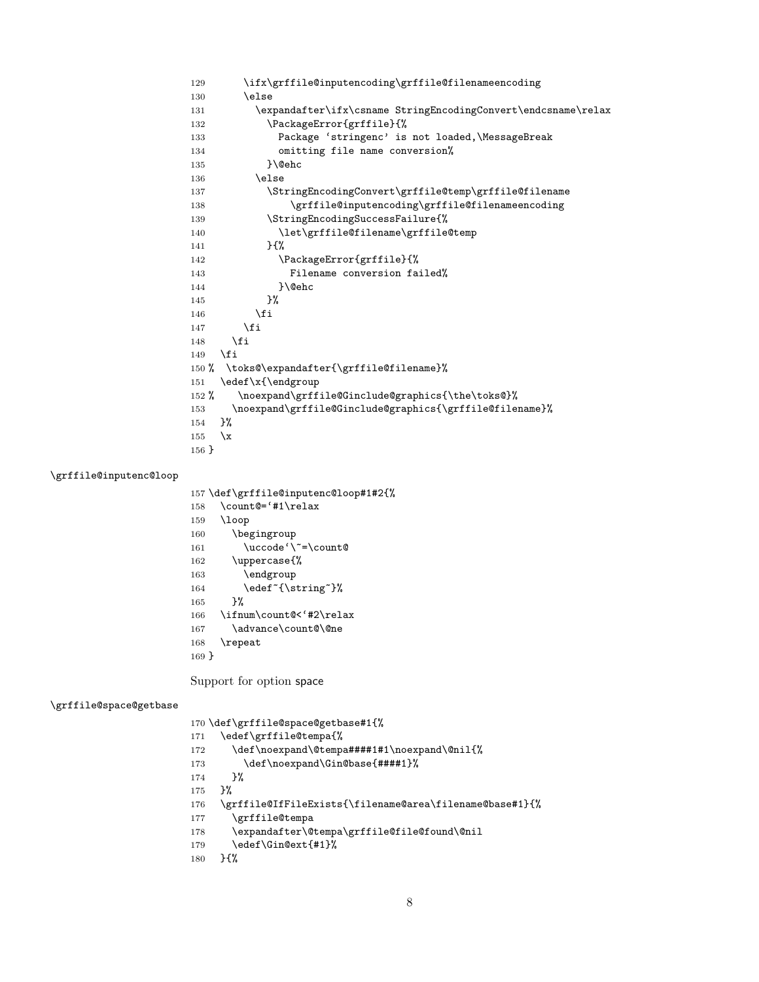```
129 \ifx\grffile@inputencoding\grffile@filenameencoding
130 \else
131 \expandafter\ifx\csname StringEncodingConvert\endcsname\relax
132 \PackageError{grffile}{%
133 Package 'stringenc' is not loaded,\MessageBreak
134 conting file name conversion%
135 }\@ehc
136 \else
137 \StringEncodingConvert\grffile@temp\grffile@filename
138 \grffile@inputencoding\grffile@filenameencoding
139 \StringEncodingSuccessFailure{%
140 \let\grffile@filename\grffile@temp
141 }{%
142 \PackageError{grffile}{%
143 Filename conversion failed%
144    }\@ehc
145 }%
146 \fi
147 \fi
148 \fi
149 \overrightarrow{fi}150 % \toks@\expandafter{\grffile@filename}%
151 \edef\x{\endgroup
152 % \noexpand\grffile@Ginclude@graphics{\the\toks@}%
153 \noexpand\grffile@Ginclude@graphics{\grffile@filename}%
154 }%
155 \quad \{x156 }
```
#### <span id="page-7-19"></span>\grffile@inputenc@loop

<span id="page-7-31"></span><span id="page-7-30"></span><span id="page-7-18"></span><span id="page-7-15"></span><span id="page-7-14"></span><span id="page-7-6"></span> \def\grffile@inputenc@loop#1#2{% \count@='#1\relax

<span id="page-7-29"></span><span id="page-7-23"></span><span id="page-7-5"></span> \loop \begingroup 161 \uccode'\"=\count@ \uppercase{% 163 \endgroup 164 \edef<sup>~{\string~}%</sup> }% \ifnum\count@<'#2\relax 167 \advance\count@\@ne \repeat }

<span id="page-7-27"></span><span id="page-7-7"></span><span id="page-7-2"></span>Support for option space

#### <span id="page-7-20"></span>\grffile@space@getbase

<span id="page-7-22"></span><span id="page-7-21"></span><span id="page-7-11"></span><span id="page-7-10"></span><span id="page-7-9"></span><span id="page-7-4"></span><span id="page-7-3"></span> \def\grffile@space@getbase#1{% \edef\grffile@tempa{% 172 \def\noexpand\@tempa####1#1\noexpand\@nil{% 173 \def\noexpand\Gin@base{####1}% }% }% \grffile@IfFileExists{\filename@area\filename@base#1}{% \grffile@tempa \expandafter\@tempa\grffile@file@found\@nil \edef\Gin@ext{#1}% }{%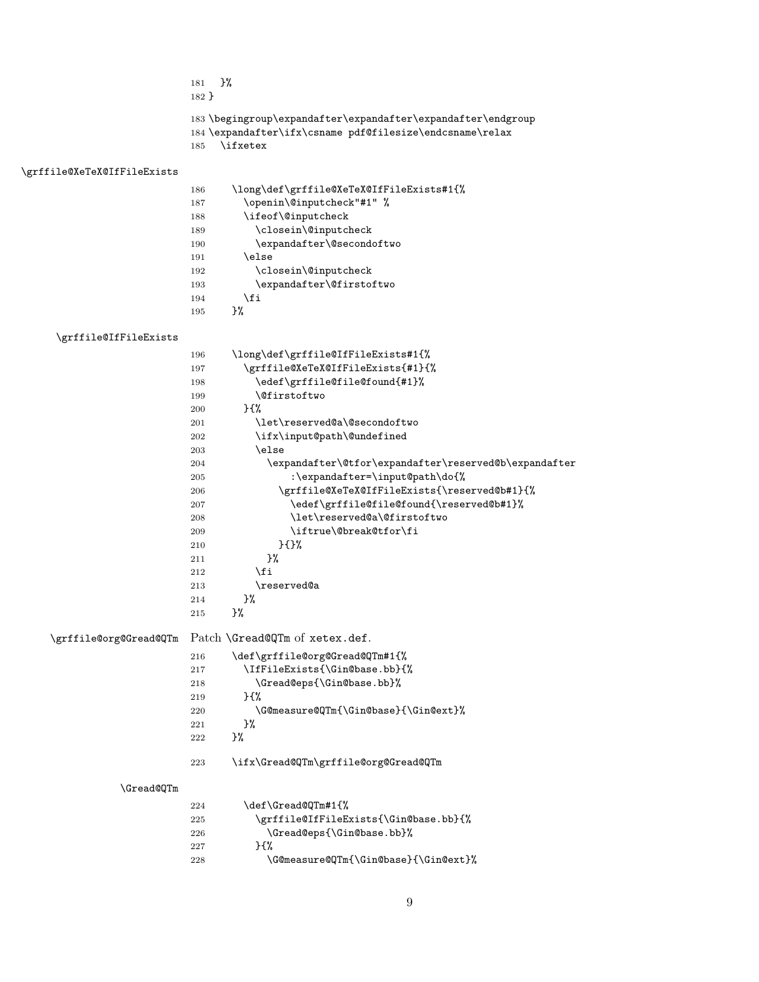<span id="page-8-12"></span>

| 181 P <sup>2</sup><br>$182$ }                                                                                                              |
|--------------------------------------------------------------------------------------------------------------------------------------------|
| 183 \begingroup\expandafter\expandafter\expandafter\endgroup<br>184 \expandafter\ifx\csname pdf@filesize\endcsname\relax<br>$185$ \ifxetex |

#### <span id="page-8-26"></span>\grffile@XeTeX@IfFileExists

<span id="page-8-29"></span><span id="page-8-8"></span><span id="page-8-7"></span><span id="page-8-6"></span><span id="page-8-5"></span><span id="page-8-4"></span><span id="page-8-1"></span>

| 186 | \long\def\grffile@XeTeX@IfFileExists#1{% |
|-----|------------------------------------------|
| 187 | \openin\@inputcheck"#1" %                |
| 188 | \ifeof\@inputcheck                       |
| 189 | \closein\@inputcheck                     |
| 190 | \expandafter\@secondoftwo                |
| 191 | \else                                    |
| 192 | \closein\@inputcheck                     |
| 193 | \expandafter\@firstoftwo                 |
| 194 | \fi                                      |
| 195 | ጉ%                                       |
|     |                                          |

#### <span id="page-8-27"></span><span id="page-8-24"></span><span id="page-8-22"></span>\grffile@IfFileExists

<span id="page-8-28"></span><span id="page-8-23"></span><span id="page-8-13"></span><span id="page-8-11"></span><span id="page-8-10"></span><span id="page-8-9"></span><span id="page-8-3"></span><span id="page-8-2"></span><span id="page-8-0"></span>

|                        | 196 | \long\def\grffile@IfFileExists#1{%                    |
|------------------------|-----|-------------------------------------------------------|
|                        | 197 | \grffile@XeTeX@IfFileExists{#1}{%                     |
|                        | 198 | \edef\grffile@file@found{#1}%                         |
|                        | 199 | <b>\@firstoftwo</b>                                   |
|                        | 200 | $H^{\prime\prime}$                                    |
|                        | 201 | \let\reserved@a\@secondoftwo                          |
|                        | 202 | \ifx\input@path\@undefined                            |
|                        | 203 | \else                                                 |
|                        | 204 | \expandafter\@tfor\expandafter\reserved@b\expandafter |
|                        | 205 | :\expandafter=\input@path\do{%                        |
|                        | 206 | \grffile@XeTeX@IfFileExists{\reserved@b#1}{%          |
|                        | 207 | \edef\grffile@file@found{\reserved@b#1}%              |
|                        | 208 | \let\reserved@a\@firstoftwo                           |
|                        | 209 | \iftrue\@break@tfor\fi                                |
|                        | 210 | }{}%                                                  |
|                        | 211 | }‰                                                    |
|                        | 212 | \fi                                                   |
|                        | 213 | \reserved@a                                           |
|                        | 214 | }%                                                    |
|                        | 215 | }%                                                    |
| \grffile@org@Gread@QTm |     | Patch \Gread@QTm of xetex.def.                        |
|                        | 216 | \def\grffile@org@Gread@QTm#1{%                        |
|                        | 217 | \IfFileExists{\Gin@base.bb}{%                         |
|                        | 218 | \Gread@eps{\Gin@base.bb}%                             |
|                        | 219 | $H^{\prime\prime}$                                    |
|                        | 220 | \G@measure@QTm{\Gin@base}{\Gin@ext}%                  |
|                        | 221 | 3%                                                    |
|                        | 222 | }‰                                                    |
|                        | 223 | \ifx\Gread@QTm\grffile@org@Gread@QTm                  |
| \Gread@QTm             |     |                                                       |
|                        |     |                                                       |

### <span id="page-8-30"></span><span id="page-8-25"></span><span id="page-8-21"></span><span id="page-8-17"></span><span id="page-8-16"></span> $\Gamma$

<span id="page-8-20"></span><span id="page-8-19"></span><span id="page-8-18"></span><span id="page-8-15"></span><span id="page-8-14"></span>

| 224 | \def\Gread@OTm#1{%                    |
|-----|---------------------------------------|
| 225 | \grffile@IfFileExists{\Gin@base.bb}{% |
| 226 | \Gread@eps{\Gin@base.bb}%             |
| 227 | ን የእ                                  |
| 228 | \G@measure@QTm{\Gin@base}{\Gin@ext}%  |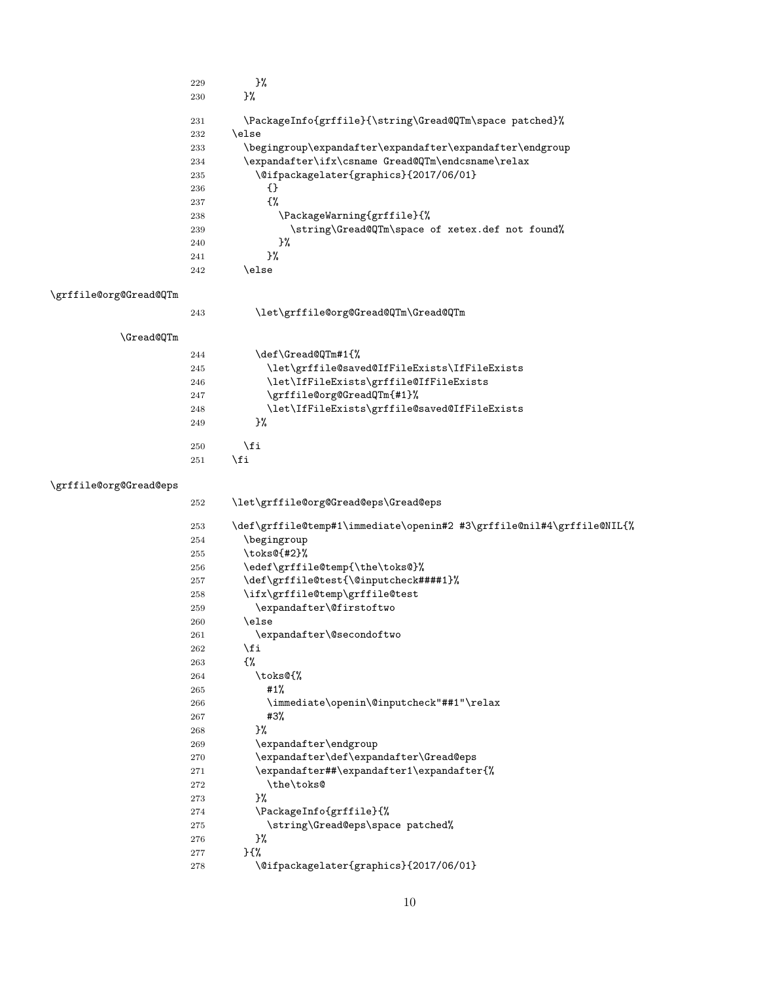<span id="page-9-10"></span><span id="page-9-6"></span><span id="page-9-1"></span>

| ጉ%                                                       |
|----------------------------------------------------------|
| ጉ%                                                       |
| \PackageInfo{grffile}{\string\Gread@QTm\space patched}%  |
| \else                                                    |
| \begingroup\expandafter\expandafter\expandafter\endgroup |
| \expandafter\ifx\csname Gread@QTm\endcsname\relax        |
| \@ifpackagelater{graphics}{2017/06/01}                   |
| ብ የ                                                      |
| £%                                                       |
| \PackageWarning{grffile}{%                               |
| \string\Gread@QTm\space of xetex.def not found%          |
| }‰                                                       |
| ጉ%                                                       |
| \else                                                    |
|                                                          |

### <span id="page-9-17"></span>\grffile@org@Gread@QTm

<span id="page-9-24"></span><span id="page-9-13"></span><span id="page-9-12"></span><span id="page-9-11"></span>

| \let\grffile@org@Gread@QTm\Gread@QTm<br>243<br><b>\Gread@QTm</b><br>\def\Gread@QTm#1{%<br>244<br>\let\grffile@saved@IfFileExists\IfFileExists<br>245<br>\let\IfFileExists\grffile@IfFileExists<br>246<br>\grffile@org@GreadQTm{#1}%<br>247<br>\let\IfFileExists\grffile@saved@IfFileExists<br>248<br>ን%<br>249<br>\fi<br>250 | ,,,,,,,,,,, |  |
|------------------------------------------------------------------------------------------------------------------------------------------------------------------------------------------------------------------------------------------------------------------------------------------------------------------------------|-------------|--|
|                                                                                                                                                                                                                                                                                                                              |             |  |
|                                                                                                                                                                                                                                                                                                                              |             |  |
|                                                                                                                                                                                                                                                                                                                              |             |  |
|                                                                                                                                                                                                                                                                                                                              |             |  |
|                                                                                                                                                                                                                                                                                                                              |             |  |
|                                                                                                                                                                                                                                                                                                                              |             |  |
|                                                                                                                                                                                                                                                                                                                              |             |  |
|                                                                                                                                                                                                                                                                                                                              |             |  |
|                                                                                                                                                                                                                                                                                                                              |             |  |

<span id="page-9-20"></span><span id="page-9-19"></span><span id="page-9-18"></span><span id="page-9-14"></span>251  $\overline{f}$ 

### <span id="page-9-16"></span>\grffile@org@Gread@eps

<span id="page-9-27"></span><span id="page-9-26"></span><span id="page-9-25"></span><span id="page-9-23"></span><span id="page-9-22"></span><span id="page-9-21"></span><span id="page-9-15"></span><span id="page-9-9"></span><span id="page-9-8"></span><span id="page-9-7"></span><span id="page-9-5"></span><span id="page-9-4"></span><span id="page-9-3"></span><span id="page-9-2"></span><span id="page-9-0"></span>

| 252 | \let\grffile@org@Gread@eps\Gread@eps                                  |
|-----|-----------------------------------------------------------------------|
| 253 | \def\grffile@temp#1\immediate\openin#2 #3\grffile@nil#4\grffile@NIL{% |
| 254 | \begingroup                                                           |
| 255 | \toks@{#2}%                                                           |
| 256 | \edef\grffile@temp{\the\toks@}%                                       |
| 257 | \def\grffile@test{\@inputcheck####1}%                                 |
| 258 | \ifx\grffile@temp\grffile@test                                        |
| 259 | \expandafter\@firstoftwo                                              |
| 260 | \else                                                                 |
| 261 | \expandafter\@secondoftwo                                             |
| 262 | \fi                                                                   |
| 263 | £%                                                                    |
| 264 | \toks@{%                                                              |
| 265 | #1%                                                                   |
| 266 | \immediate\openin\@inputcheck"##1"\relax                              |
| 267 | #3%                                                                   |
| 268 | 3%                                                                    |
| 269 | \expandafter\endgroup                                                 |
| 270 | \expandafter\def\expandafter\Gread@eps                                |
| 271 | \expandafter##\expandafter1\expandafter{%                             |
| 272 | \the\toks@                                                            |
| 273 | }%                                                                    |
| 274 | \PackageInfo{grffile}{%                                               |
| 275 | \string\Gread@eps\space patched%                                      |
| 276 | }%                                                                    |
| 277 | ን ና‰                                                                  |
| 278 | \@ifpackagelater{graphics}{2017/06/01}                                |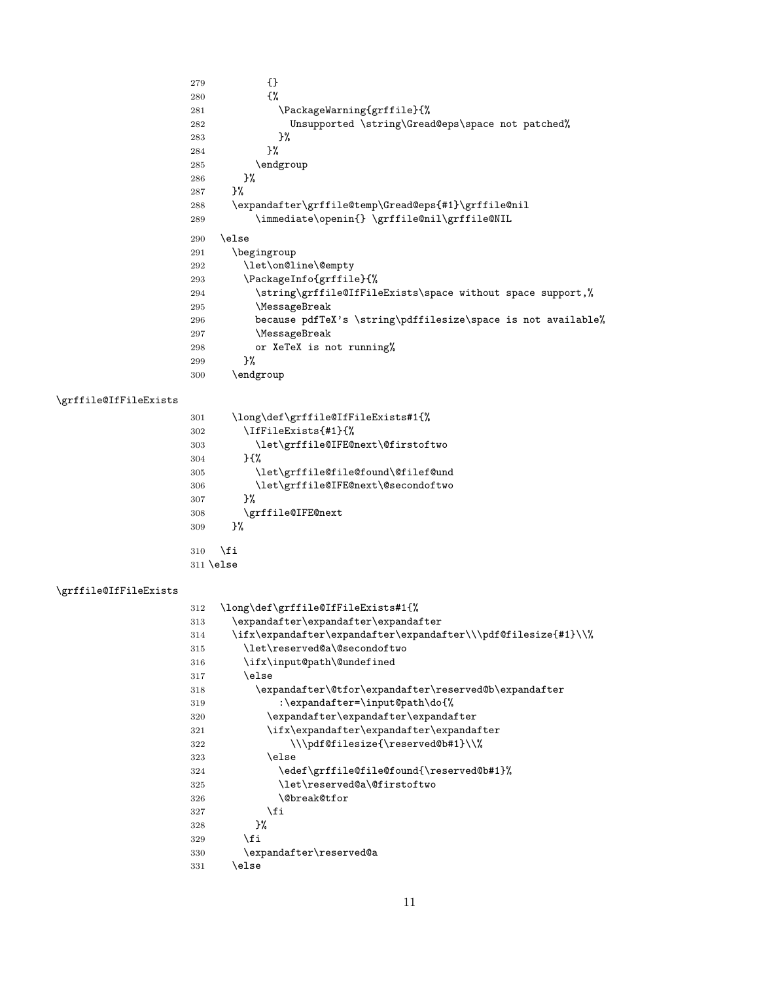<span id="page-10-25"></span><span id="page-10-19"></span><span id="page-10-13"></span><span id="page-10-12"></span> {}<br>280 {%} 281 \PackageWarning{grffile}{% Unsupported \string\Gread@eps\space not patched% }% 284 }%  $\begin{array}{ll} 285 & \texttt{\char'136} \\ 286 & \texttt{\char'136} \\ \end{array}$  ${\bf 286}$  }% \expandafter\grffile@temp\Gread@eps{#1}\grffile@nil \immediate\openin{} \grffile@nil\grffile@NIL \else \begingroup \let\on@line\@empty \PackageInfo{grffile}{% \string\grffile@IfFileExists\space without space support,% \MessageBreak because pdfTeX's \string\pdffilesize\space is not available% \MessageBreak or XeTeX is not running% }%  $\qquad$   $\qquad$   $\qquad$ 

#### <span id="page-10-17"></span>\grffile@IfFileExists

<span id="page-10-26"></span><span id="page-10-24"></span><span id="page-10-23"></span><span id="page-10-22"></span><span id="page-10-20"></span><span id="page-10-16"></span><span id="page-10-15"></span><span id="page-10-5"></span><span id="page-10-3"></span><span id="page-10-2"></span><span id="page-10-1"></span>

| 301 | \long\def\grffile@IfFileExists#1{% |
|-----|------------------------------------|
| 302 | \IfFileExists{#1}{%                |
| 303 | \let\grffile@IFE@next\@firstoftwo  |
| 304 | ንብሂ                                |
| 305 | \let\grffile@file@found\@filef@und |
| 306 | \let\grffile@IFE@next\@secondoftwo |
| 307 | ጉ%                                 |
| 308 | \grffile@IFE@next                  |
| 309 | ጉ%                                 |
|     |                                    |
| 310 | \fi                                |
|     | $311$ \else                        |

#### <span id="page-10-18"></span>\grffile@IfFileExists

<span id="page-10-27"></span><span id="page-10-21"></span><span id="page-10-14"></span><span id="page-10-11"></span><span id="page-10-10"></span><span id="page-10-9"></span><span id="page-10-8"></span><span id="page-10-7"></span><span id="page-10-6"></span><span id="page-10-4"></span><span id="page-10-0"></span>

| 312 | \long\def\grffile@IfFileExists#1{%                              |
|-----|-----------------------------------------------------------------|
| 313 | \expandafter\expandafter\expandafter                            |
| 314 | \ifx\expandafter\expandafter\expandafter\\\pdf@filesize{#1}\\%\ |
| 315 | \let\reserved@a\@secondoftwo                                    |
| 316 | \ifx\input@path\@undefined                                      |
| 317 | \else                                                           |
| 318 | \expandafter\@tfor\expandafter\reserved@b\expandafter           |
| 319 | :\expandafter=\input@path\do{%                                  |
| 320 | \expandafter\expandafter\expandafter                            |
| 321 | \ifx\expandafter\expandafter\expandafter                        |
| 322 | \\\pdf@filesize{\reserved@b#1}\\%                               |
| 323 | \else                                                           |
| 324 | \edef\grffile@file@found{\reserved@b#1}%                        |
| 325 | \let\reserved@a\@firstoftwo                                     |
| 326 | <b>\@break@tfor</b>                                             |
| 327 | \fi                                                             |
| 328 | ጉ%                                                              |
| 329 | \fi                                                             |
| 330 | \expandafter\reserved@a                                         |
| 331 | \else                                                           |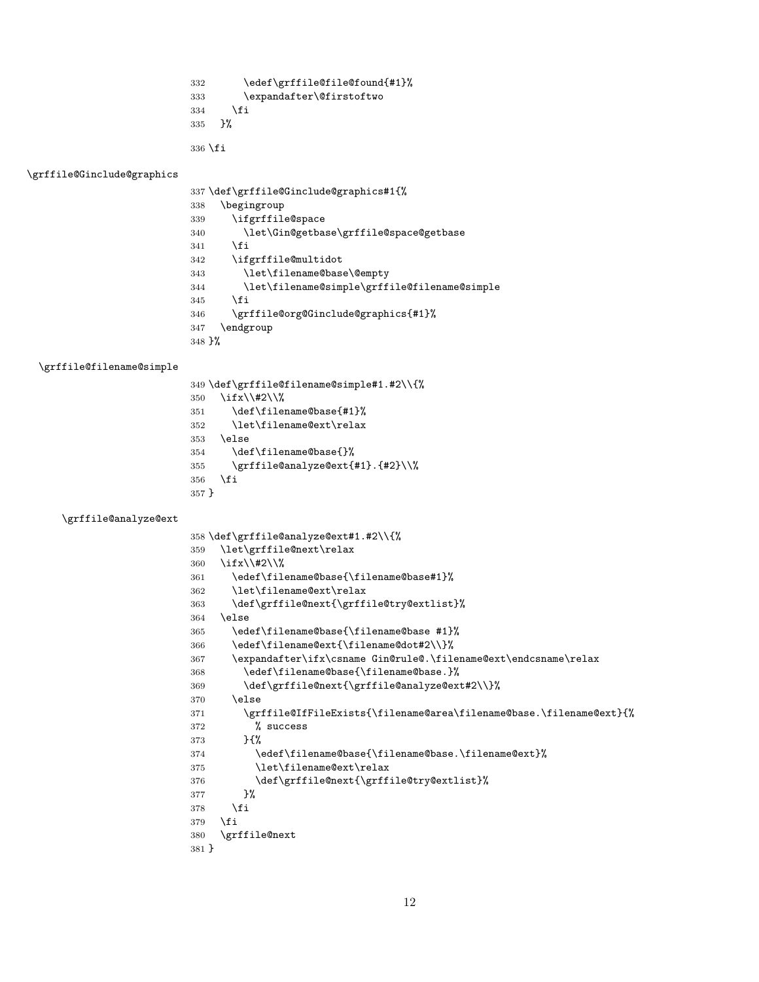```
332 \edef\grffile@file@found{#1}%
333 \expandafter\@firstoftwo
334 \fi
335 }%
```
\fi

#### <span id="page-11-25"></span>\grffile@Ginclude@graphics

<span id="page-11-32"></span><span id="page-11-31"></span><span id="page-11-21"></span><span id="page-11-20"></span><span id="page-11-0"></span>

|                                 | 337 \def\grffile@Ginclude@graphics#1{%       |
|---------------------------------|----------------------------------------------|
| 338                             | \begingroup                                  |
| 339                             | \ifgrffile@space                             |
| 340                             | \let\Gin@getbase\grffile@space@getbase       |
| 341                             | \fi                                          |
| 342                             | \ifgrffile@multidot                          |
| 343                             | \let\filename@base\@empty                    |
| 344                             | \let\filename@simple\grffile@filename@simple |
| 345                             | \fi                                          |
| 346                             | \grffile@org@Ginclude@graphics{#1}%          |
| 347                             | \endgroup                                    |
| $348 \frac{\text{}}{\text{}}\%$ |                                              |

#### <span id="page-11-24"></span>\grffile@filename@simple

<span id="page-11-30"></span><span id="page-11-17"></span><span id="page-11-12"></span><span id="page-11-11"></span><span id="page-11-3"></span><span id="page-11-2"></span>

|         | 349 \def\grffile@filename@simple#1.#2\\{% |
|---------|-------------------------------------------|
| 350     | \ifx\\#2\\%                               |
| 351     | \def\filename@base{#1}%                   |
| 352     | \let\filename@ext\relax                   |
| 353     | \else                                     |
| 354     | \def\filename@base{}%                     |
| 355     | \grffile@analyze@ext{#1}.{#2}\\%          |
| 356     | \fi                                       |
| $357$ } |                                           |

#### <span id="page-11-22"></span>\grffile@analyze@ext

```
358 \def\grffile@analyze@ext#1.#2\\{%
359 \let\grffile@next\relax
360 \ifx\\#2\\%
361 \edef\filename@base{\filename@base#1}%
362 \let\filename@ext\relax
363 \def\grffile@next{\grffile@try@extlist}%
364 \else
365 \edef\filename@base{\filename@base #1}%
366 \edef\filename@ext{\filename@dot#2\\}%
367 \expandafter\ifx\csname Gin@rule@.\filename@ext\endcsname\relax
368 \edef\filename@base{\filename@base.}%
369 \def\grffile@next{\grffile@analyze@ext#2\\}%
370 \else
371 \grffile@IfFileExists{\filename@area\filename@base.\filename@ext}{%
372 % success
373 }{%
374 \edef\filename@base{\filename@base.\filename@ext}%
375 \let\filename@ext\relax
376 \def\grffile@next{\grffile@try@extlist}%
377 }%
378 \fi
379 \fi
380 \grffile@next
381 }
```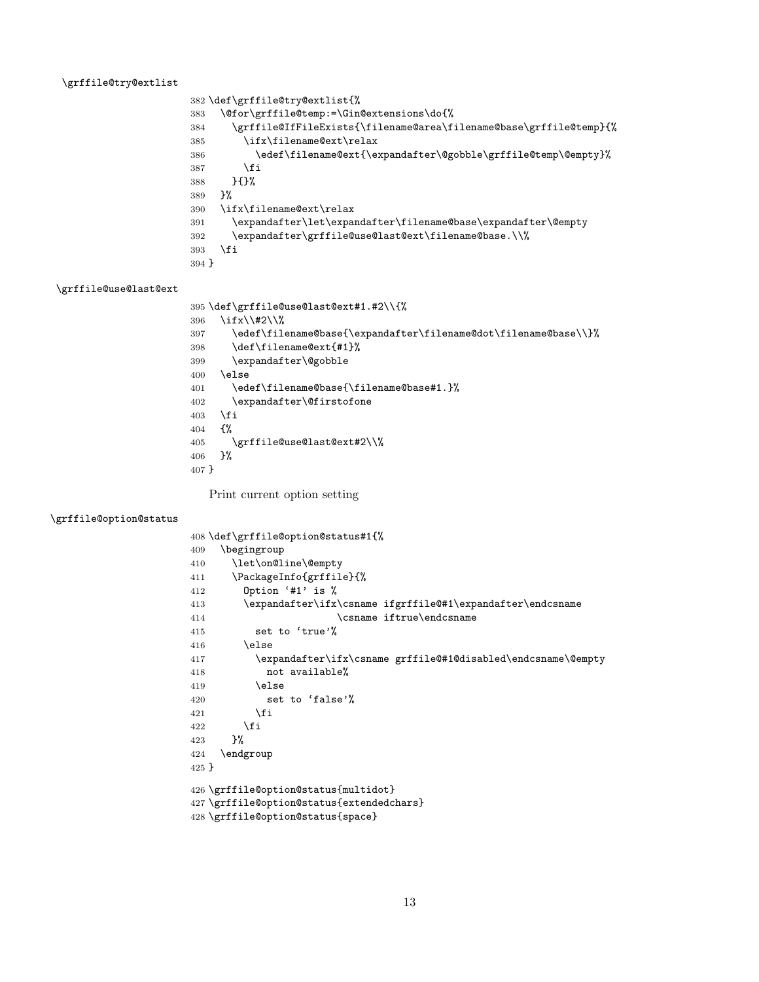#### <span id="page-12-23"></span>\grffile@try@extlist

```
382 \def\grffile@try@extlist{%
383 \@for\grffile@temp:=\Gin@extensions\do{%
384 \grffile@IfFileExists{\filename@area\filename@base\grffile@temp}{%
385 \ifx\filename@ext\relax
386 \edef\filename@ext{\expandafter\@gobble\grffile@temp\@empty}%
387 \fi
388 }{}%
389 }%
390 \ifx\filename@ext\relax
391 \expandafter\let\expandafter\filename@base\expandafter\@empty
392 \expandafter\grffile@use@last@ext\filename@base.\\%
393 \fi
394 }
```
#### <span id="page-12-24"></span>\grffile@use@last@ext

```
395 \def\grffile@use@last@ext#1.#2\\{%
396 \ifx\\#2\\%
397 \edef\filename@base{\expandafter\filename@dot\filename@base\\}%
398 \def\filename@ext{#1}%
399 \expandafter\@gobble
400 \else
401 \edef\filename@base{\filename@base#1.}%
402 \expandafter\@firstofone
403 \fi
404 {%
405 \grffile@use@last@ext#2\\%
406 }%
407 }
```
<span id="page-12-11"></span><span id="page-12-4"></span>Print current option setting

#### <span id="page-12-19"></span>\grffile@option@status

<span id="page-12-25"></span><span id="page-12-22"></span><span id="page-12-21"></span><span id="page-12-20"></span><span id="page-12-13"></span><span id="page-12-12"></span><span id="page-12-3"></span><span id="page-12-2"></span>

| 408 \def\grffile@option@status#1{%                                  |  |  |
|---------------------------------------------------------------------|--|--|
| \begingroup<br>409                                                  |  |  |
| \let\on@line\@empty<br>410                                          |  |  |
| \PackageInfo{grffile}{%<br>411                                      |  |  |
| Option '#1' is %<br>412                                             |  |  |
| \expandafter\ifx\csname ifgrffile@#1\expandafter\endcsname<br>413   |  |  |
| \csname iftrue\endcsname<br>414                                     |  |  |
| set to 'true'%<br>415                                               |  |  |
| \else<br>416                                                        |  |  |
| \expandafter\ifx\csname grffile@#1@disabled\endcsname\@empty<br>417 |  |  |
| not available%<br>418                                               |  |  |
| \else<br>419                                                        |  |  |
| set to 'false'%<br>420                                              |  |  |
| \fi<br>421                                                          |  |  |
| \fi<br>422                                                          |  |  |
| }‰<br>423                                                           |  |  |
| \endgroup<br>424                                                    |  |  |
| $425$ }                                                             |  |  |
| 426 \grffile@option@status{multidot}                                |  |  |
| 427 \grffile@option@status{extendedchars}                           |  |  |
|                                                                     |  |  |
| 428 \grffile@option@status{space}                                   |  |  |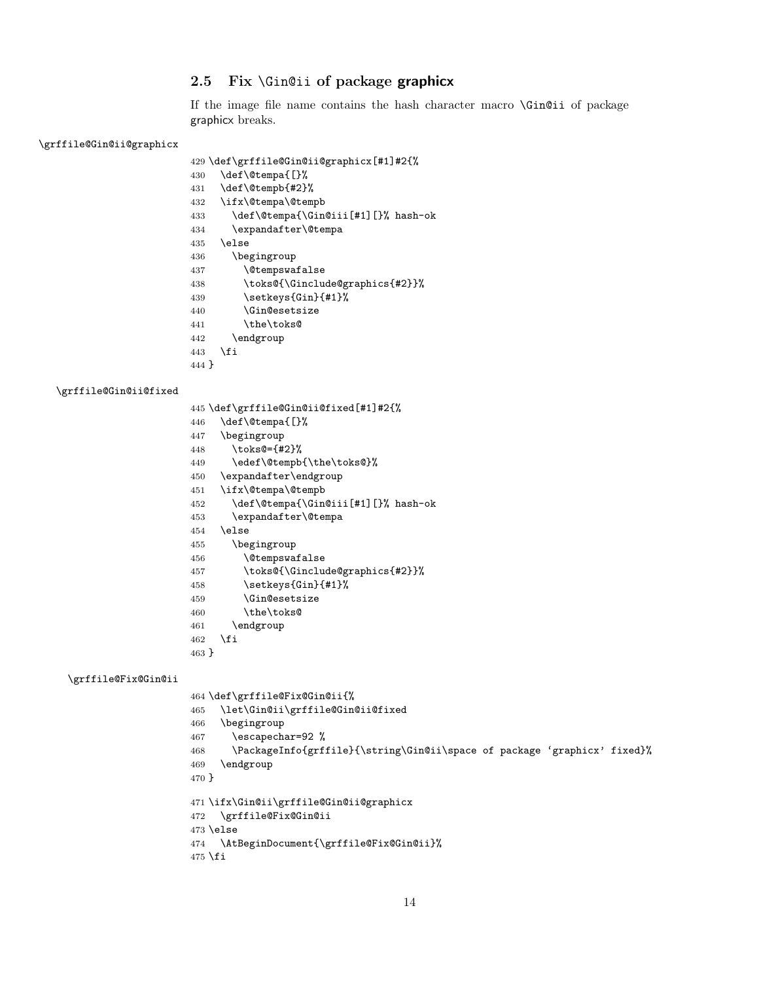#### <span id="page-13-0"></span>2.5 Fix \Gin@ii of package graphicx

If the image file name contains the hash character macro \Gin@ii of package graphicx breaks.

#### <span id="page-13-25"></span>\grffile@Gin@ii@graphicx

```
429 \def\grffile@Gin@ii@graphicx[#1]#2{%
430 \def\@tempa{[}%
431 \def\@tempb{#2}%
432 \ifx\@tempa\@tempb
433 \def\@tempa{\Gin@iii[#1][}% hash-ok
434 \expandafter\@tempa
435 \else
436 \begingroup
437 \@tempswafalse
438 \toks@{\Ginclude@graphics{#2}}%
439 \setkeys{Gin}{#1}%
440 \Gin@esetsize
441 \the\toks@
442 \endgroup
443 \fi
```
<span id="page-13-28"></span><span id="page-13-26"></span><span id="page-13-20"></span><span id="page-13-15"></span><span id="page-13-11"></span>}

#### <span id="page-13-24"></span>\grffile@Gin@ii@fixed

- \def\grffile@Gin@ii@fixed[#1]#2{%
- <span id="page-13-5"></span>\def\@tempa{[}%
- \begingroup
- <span id="page-13-30"></span>\toks@={#2}%
- <span id="page-13-10"></span>\edef\@tempb{\the\toks@}%
- \expandafter\endgroup
- <span id="page-13-6"></span>\ifx\@tempa\@tempb
- <span id="page-13-7"></span>\def\@tempa{\Gin@iii[#1][}% hash-ok
- <span id="page-13-8"></span>\expandafter\@tempa
- \else
- \begingroup
- <span id="page-13-12"></span>\@tempswafalse
- <span id="page-13-21"></span>\toks@{\Ginclude@graphics{#2}}%
- <span id="page-13-27"></span>458 \setkeys{Gin}{#1}%
- <span id="page-13-16"></span>459 \Gin@esetsize
- <span id="page-13-29"></span>\the\toks@
- \endgroup
- \fi
- }

#### <span id="page-13-22"></span>\grffile@Fix@Gin@ii

```
464 \def\grffile@Fix@Gin@ii{%
465 \let\Gin@ii\grffile@Gin@ii@fixed
466 \begingroup
467 \escapechar=92 %
468 \PackageInfo{grffile}{\string\Gin@ii\space of package 'graphicx' fixed}%
469 \endgroup
470 }
471 \ifx\Gin@ii\grffile@Gin@ii@graphicx
472 \grffile@Fix@Gin@ii
473 \else
474 \AtBeginDocument{\grffile@Fix@Gin@ii}%
475 \fi
```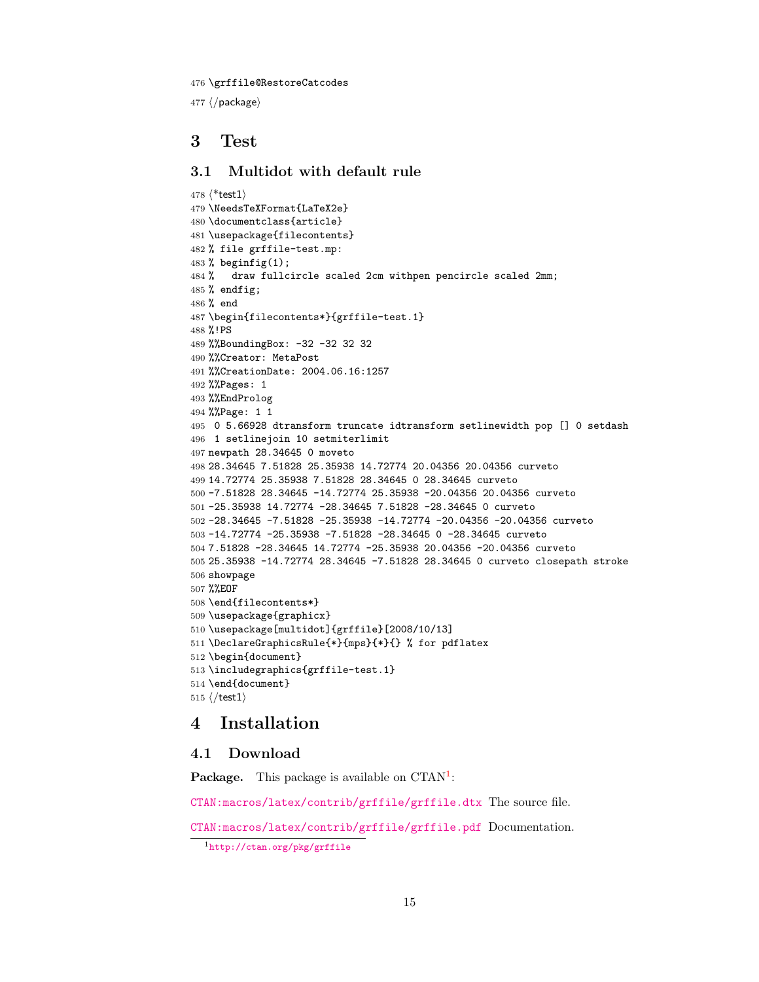<span id="page-14-11"></span>\grffile@RestoreCatcodes

 $477 \langle$ /package)

### <span id="page-14-0"></span>3 Test

#### <span id="page-14-1"></span>3.1 Multidot with default rule

```
478 \langle*test1\rangle479 \NeedsTeXFormat{LaTeX2e}
480 \documentclass{article}
481 \usepackage{filecontents}
482 % file grffile-test.mp:
483 % beginfig(1);
484 % draw fullcircle scaled 2cm withpen pencircle scaled 2mm;
485 % endfig;
486 % end
487 \begin{filecontents*}{grffile-test.1}
488 %!PS
489 %%BoundingBox: -32 -32 32 32
490 %%Creator: MetaPost
491 %%CreationDate: 2004.06.16:1257
492 %%Pages: 1
493 %%EndProlog
494 %%Page: 1 1
495 0 5.66928 dtransform truncate idtransform setlinewidth pop [] 0 setdash
496 1 setlinejoin 10 setmiterlimit
497 newpath 28.34645 0 moveto
498 28.34645 7.51828 25.35938 14.72774 20.04356 20.04356 curveto
499 14.72774 25.35938 7.51828 28.34645 0 28.34645 curveto
500 -7.51828 28.34645 -14.72774 25.35938 -20.04356 20.04356 curveto
501 -25.35938 14.72774 -28.34645 7.51828 -28.34645 0 curveto
502 -28.34645 -7.51828 -25.35938 -14.72774 -20.04356 -20.04356 curveto
503 -14.72774 -25.35938 -7.51828 -28.34645 0 -28.34645 curveto
504 7.51828 -28.34645 14.72774 -25.35938 20.04356 -20.04356 curveto
505 25.35938 -14.72774 28.34645 -7.51828 28.34645 0 curveto closepath stroke
506 showpage
507 %%EOF
508 \end{filecontents*}
509 \usepackage{graphicx}
510 \usepackage[multidot]{grffile}[2008/10/13]
511 \DeclareGraphicsRule{*}{mps}{*}{} % for pdflatex
512 \begin{document}
513 \includegraphics{grffile-test.1}
514 \end{document}
515 \langle /test1 \rangle
```
### <span id="page-14-16"></span><span id="page-14-15"></span><span id="page-14-12"></span><span id="page-14-10"></span><span id="page-14-9"></span><span id="page-14-7"></span><span id="page-14-6"></span><span id="page-14-2"></span>4 Installation

#### <span id="page-14-3"></span>4.1 Download

**Package.** This package is available on  $CTAN^1$  $CTAN^1$ :

[CTAN:macros/latex/contrib/grffile/grffile.dtx](http://ctan.org/pkg/macros/latex/contrib/grffile/grffile.dtx) The source file.

[CTAN:macros/latex/contrib/grffile/grffile.pdf](http://ctan.org/pkg/macros/latex/contrib/grffile/grffile.pdf) Documentation.

<span id="page-14-4"></span><http://ctan.org/pkg/grffile>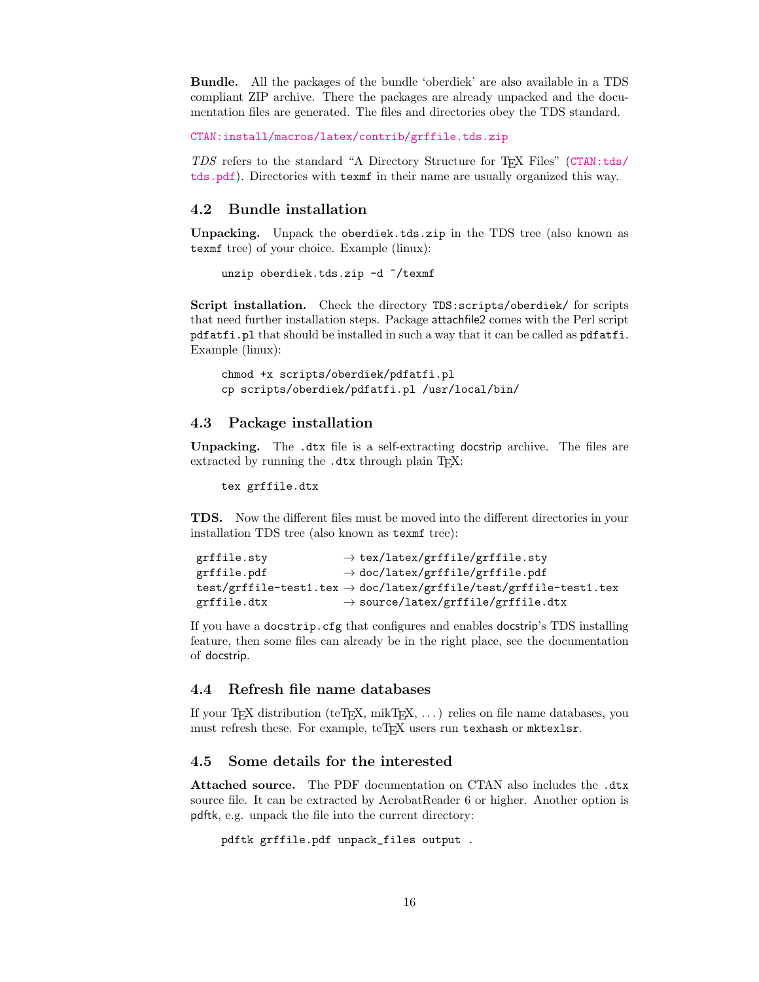Bundle. All the packages of the bundle 'oberdiek' are also available in a TDS compliant ZIP archive. There the packages are already unpacked and the documentation files are generated. The files and directories obey the TDS standard.

[CTAN:install/macros/latex/contrib/grffile.tds.zip](http://ctan.org/pkg/install/macros/latex/contrib/grffile.tds.zip)

TDS refers to the standard "A Directory Structure for TEX Files" ([CTAN:tds/](http://ctan.org/pkg/tds/tds.pdf) [tds.pdf](http://ctan.org/pkg/tds/tds.pdf)). Directories with texmf in their name are usually organized this way.

#### <span id="page-15-0"></span>4.2 Bundle installation

Unpacking. Unpack the oberdiek.tds.zip in the TDS tree (also known as texmf tree) of your choice. Example (linux):

unzip oberdiek.tds.zip -d "/texmf

Script installation. Check the directory TDS:scripts/oberdiek/ for scripts that need further installation steps. Package attachfile2 comes with the Perl script pdfatfi.pl that should be installed in such a way that it can be called as pdfatfi. Example (linux):

chmod +x scripts/oberdiek/pdfatfi.pl cp scripts/oberdiek/pdfatfi.pl /usr/local/bin/

#### <span id="page-15-1"></span>4.3 Package installation

Unpacking. The .dtx file is a self-extracting docstrip archive. The files are extracted by running the  $.$ dtx through plain T<sub>E</sub>X:

tex grffile.dtx

TDS. Now the different files must be moved into the different directories in your installation TDS tree (also known as texmf tree):

```
grffile.sty \rightarrow tex/latex/grffile/grffile.sty
grffile.pdf \rightarrow doc/latex/grffile/grffile.pdf
\texttt{test/grffile-test1.tex} \rightarrow \texttt{doc/latex/grffile-test/grffile-test1.tex}grffile.dtx \rightarrow source/latex/grffile/grffile.dtx
```
If you have a docstrip.cfg that configures and enables docstrip's TDS installing feature, then some files can already be in the right place, see the documentation of docstrip.

### <span id="page-15-2"></span>4.4 Refresh file name databases

If your T<sub>E</sub>X distribution (teT<sub>E</sub>X, mikT<sub>E</sub>X, ...) relies on file name databases, you must refresh these. For example, teTFX users run texhash or mktexlsr.

#### <span id="page-15-3"></span>4.5 Some details for the interested

Attached source. The PDF documentation on CTAN also includes the .dtx source file. It can be extracted by AcrobatReader 6 or higher. Another option is pdftk, e.g. unpack the file into the current directory:

```
pdftk grffile.pdf unpack_files output .
```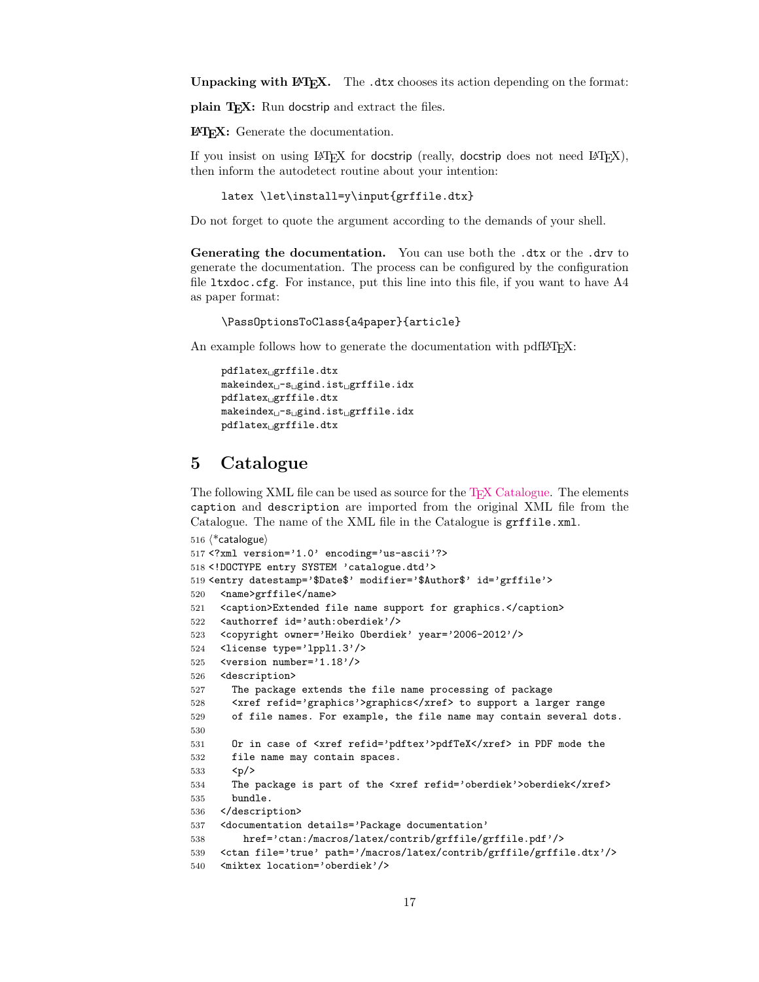Unpacking with LAT<sub>E</sub>X. The .dtx chooses its action depending on the format:

plain T<sub>E</sub>X: Run docstrip and extract the files.

LATEX: Generate the documentation.

If you insist on using  $L^2T_FX$  for docstrip (really, docstrip does not need  $L^2T_FX$ ), then inform the autodetect routine about your intention:

```
latex \let\install=y\input{grffile.dtx}
```
Do not forget to quote the argument according to the demands of your shell.

Generating the documentation. You can use both the .dtx or the .drv to generate the documentation. The process can be configured by the configuration file ltxdoc.cfg. For instance, put this line into this file, if you want to have A4 as paper format:

```
\PassOptionsToClass{a4paper}{article}
```
An example follows how to generate the documentation with pdfL<sup>AT</sup>FX:

```
pdflatex<sub>1</sub>grffile.dtx
makeindex <sub>U</sub>-s<sub>U</sub>gind.ist<sub>U</sub>grffile.idxpdflatex grffile.dtx
makeindex \iota_S = s \iota_S = s \iota_S = s \iota_Spdflatex grffile.dtx
```
### <span id="page-16-0"></span>5 Catalogue

The following XML file can be used as source for the T<sub>EX</sub> Catalogue. The elements caption and description are imported from the original XML file from the Catalogue. The name of the XML file in the Catalogue is grffile.xml.

```
516 \langle*catalogue\rangle517 <?xml version='1.0' encoding='us-ascii'?>
518 <!DOCTYPE entry SYSTEM 'catalogue.dtd'>
519 <entry datestamp='$Date$' modifier='$Author$' id='grffile'>
520 <name>grffile</name>
521 <caption>Extended file name support for graphics.</caption>
522 <authorref id='auth:oberdiek'/>
523 <copyright owner='Heiko Oberdiek' year='2006-2012'/>
524 <license type='lppl1.3'/>
525 <version number='1.18'/>
526 <description>
527 The package extends the file name processing of package
528 <xref refid='graphics'>graphics</xref> to support a larger range
529 of file names. For example, the file name may contain several dots.
530
531 Or in case of <xref refid='pdftex'>pdfTeX</xref> in PDF mode the
532 file name may contain spaces.
533 < p/>534 The package is part of the <xref refid='oberdiek'>oberdiek</xref>
535 bundle.
536 </description>
537 <documentation details='Package documentation'
538 href='ctan:/macros/latex/contrib/grffile/grffile.pdf'/>
539 <ctan file='true' path='/macros/latex/contrib/grffile/grffile.dtx'/>
540 <miktex location='oberdiek'/>
```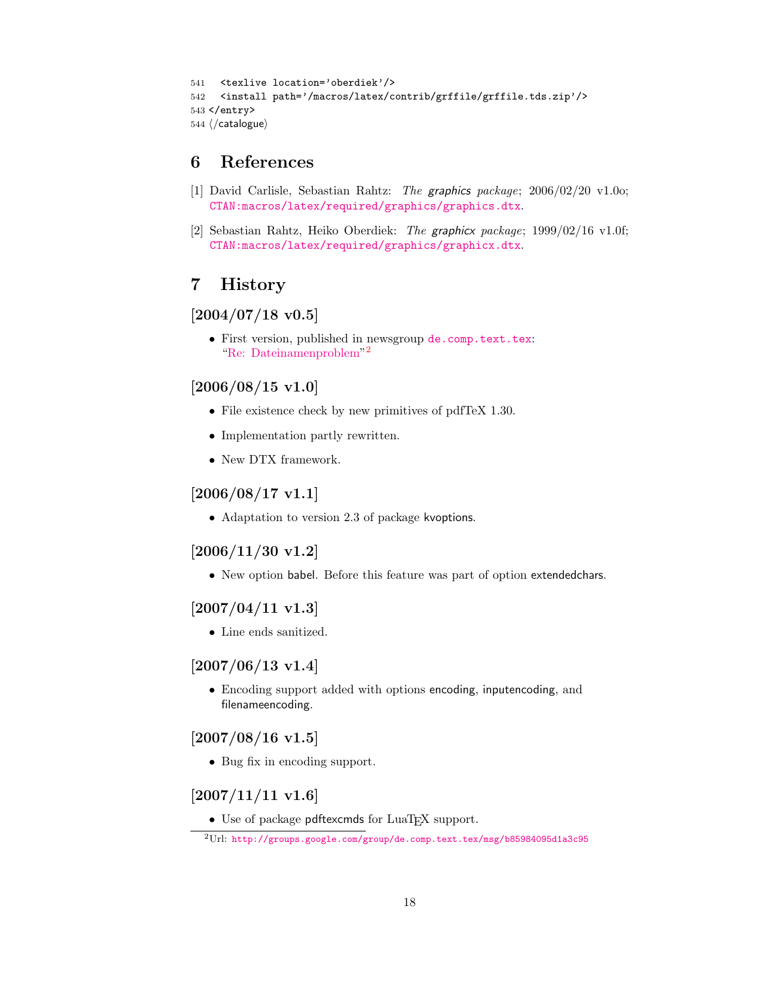```
541 <texlive location='oberdiek'/>
542 <install path='/macros/latex/contrib/grffile/grffile.tds.zip'/>
543 </entry>
544 \langle/catalogue\rangle
```
### <span id="page-17-0"></span>6 References

- [1] David Carlisle, Sebastian Rahtz: The graphics package; 2006/02/20 v1.0o; [CTAN:macros/latex/required/graphics/graphics.dtx](http://ctan.org/pkg/macros/latex/required/graphics/graphics.dtx).
- [2] Sebastian Rahtz, Heiko Oberdiek: The graphicx package; 1999/02/16 v1.0f; [CTAN:macros/latex/required/graphics/graphicx.dtx](http://ctan.org/pkg/macros/latex/required/graphics/graphicx.dtx).

### <span id="page-17-1"></span>7 History

#### <span id="page-17-2"></span> $[2004/07/18 \text{ v}0.5]$

• First version, published in newsgroup [de.comp.text.tex](news:de.comp.text.tex): ["Re: Dateinamenproblem"](http://groups.google.com/group/de.comp.text.tex/msg/b85984095d1a3c95) [2](#page-17-10)

#### <span id="page-17-3"></span> $[2006/08/15 \text{ v}1.0]$

- File existence check by new primitives of pdfTeX 1.30.
- Implementation partly rewritten.
- New DTX framework.

### <span id="page-17-4"></span> $[2006/08/17 \text{ v}1.1]$

• Adaptation to version 2.3 of package kvoptions.

### <span id="page-17-5"></span>[2006/11/30 v1.2]

• New option babel. Before this feature was part of option extendedchars.

### <span id="page-17-6"></span> $[2007/04/11 \text{ v}1.3]$

• Line ends sanitized.

### <span id="page-17-7"></span>[2007/06/13 v1.4]

• Encoding support added with options encoding, inputencoding, and filenameencoding.

### <span id="page-17-8"></span> $[2007/08/16 \text{ v}1.5]$

• Bug fix in encoding support.

### <span id="page-17-9"></span> $[2007/11/11 \text{ v}1.6]$

 $\bullet$  Use of package pdftexcmds for LuaT<sub>E</sub>X support.

<span id="page-17-10"></span><sup>2</sup>Url: <http://groups.google.com/group/de.comp.text.tex/msg/b85984095d1a3c95>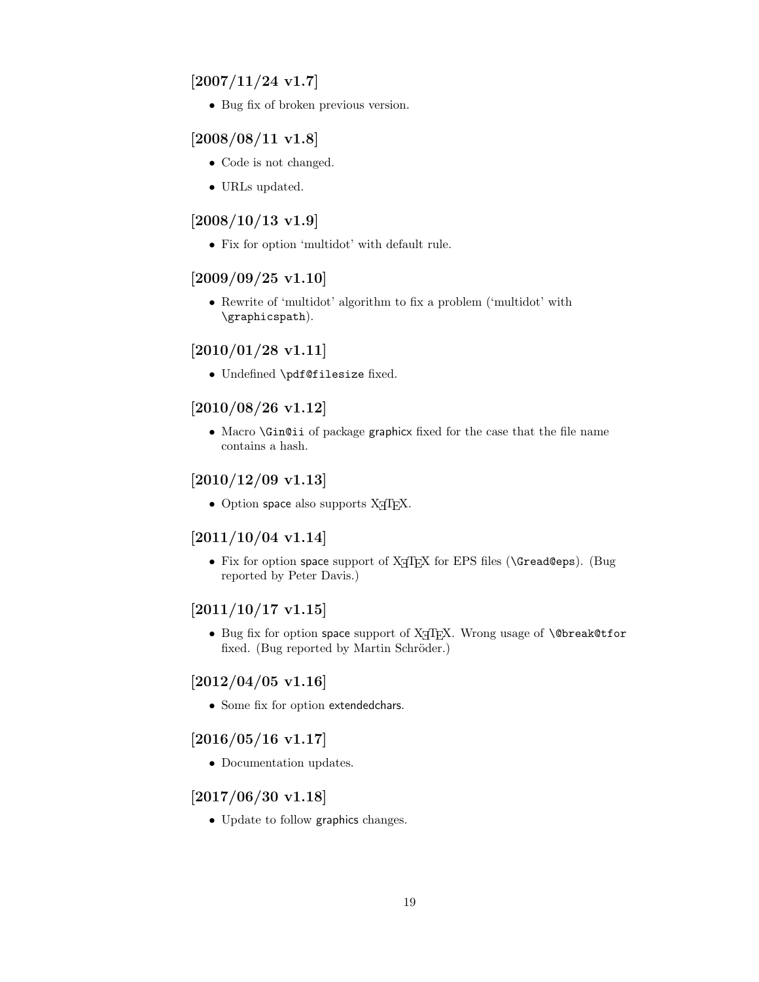### <span id="page-18-0"></span> $[2007/11/24 v1.7]$

• Bug fix of broken previous version.

### <span id="page-18-1"></span>[2008/08/11 v1.8]

- Code is not changed.
- URLs updated.

### <span id="page-18-2"></span> $[2008/10/13 \text{ v}1.9]$

• Fix for option 'multidot' with default rule.

### <span id="page-18-3"></span> $[2009/09/25 \text{ v}1.10]$

• Rewrite of 'multidot' algorithm to fix a problem ('multidot' with \graphicspath).

### <span id="page-18-4"></span> $[2010/01/28 \text{ v}1.11]$

• Undefined \pdf@filesize fixed.

### <span id="page-18-5"></span>[2010/08/26 v1.12]

• Macro \Gin@ii of package graphicx fixed for the case that the file name contains a hash.

### <span id="page-18-6"></span> $[2010/12/09 \text{ v}1.13]$

 $\bullet$  Option space also supports X $\overline{A}$ FEX.

### <span id="page-18-7"></span>[2011/10/04 v1.14]

• Fix for option space support of  $X \nsubseteq Y$  for EPS files ( $\text{Gread}\$ geps). (Bug reported by Peter Davis.)

### <span id="page-18-8"></span> $[2011/10/17 \text{ v}1.15]$

• Bug fix for option space support of X<sub>I</sub>TEX. Wrong usage of **\@break@tfor** fixed. (Bug reported by Martin Schröder.)

### <span id="page-18-9"></span> $[2012/04/05 \text{ v}1.16]$

• Some fix for option extendedchars.

#### <span id="page-18-10"></span> $[2016/05/16 \text{ v}1.17]$

• Documentation updates.

### <span id="page-18-11"></span>[2017/06/30 v1.18]

• Update to follow graphics changes.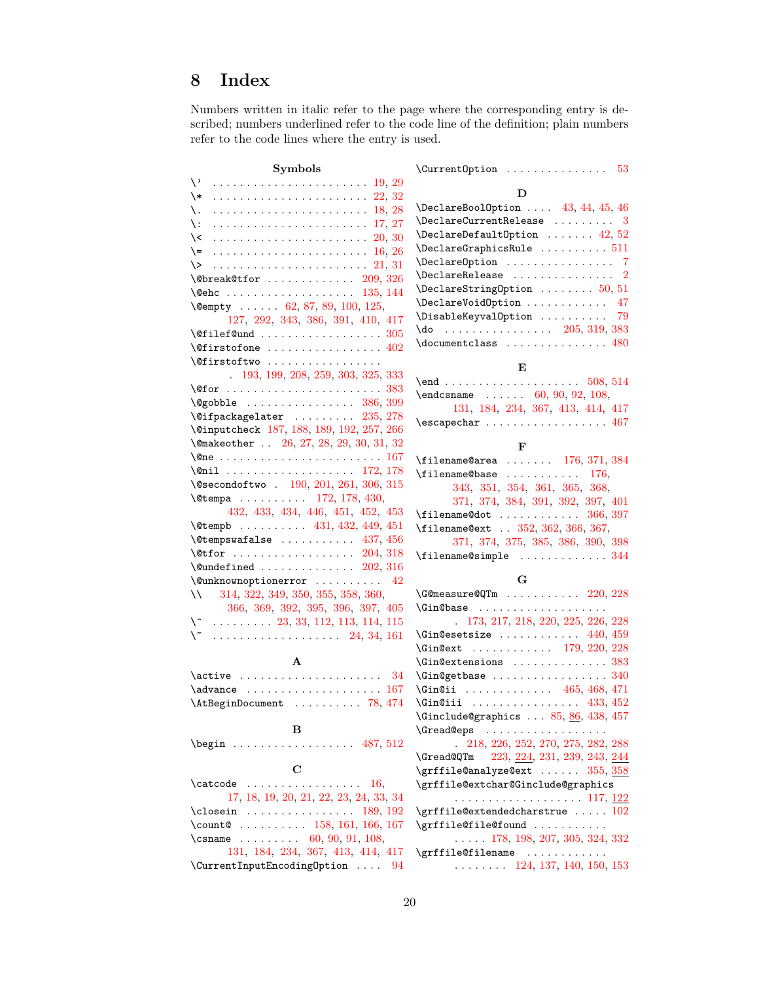# <span id="page-19-0"></span>8 Index

Numbers written in italic refer to the page where the corresponding entry is described; numbers underlined refer to the code line of the definition; plain numbers refer to the code lines where the entry is used.

| Symbols                                                                                                                                                                                                                                                                                                                                      | \Current0ption<br>53                                                                              |
|----------------------------------------------------------------------------------------------------------------------------------------------------------------------------------------------------------------------------------------------------------------------------------------------------------------------------------------------|---------------------------------------------------------------------------------------------------|
| $\vee$                                                                                                                                                                                                                                                                                                                                       |                                                                                                   |
| \*                                                                                                                                                                                                                                                                                                                                           | D                                                                                                 |
| \.                                                                                                                                                                                                                                                                                                                                           | $\Delta$ 9.44, 45, 46                                                                             |
| \:                                                                                                                                                                                                                                                                                                                                           | $\Delta$ PeclareCurrentRelease  3                                                                 |
| ∖<                                                                                                                                                                                                                                                                                                                                           | $\Delta$ PeclareDefaultOption  42, 52                                                             |
| $=$                                                                                                                                                                                                                                                                                                                                          | $\verb+\Declarge GraphicsRule + \dots + 511$                                                      |
| $\setminus$                                                                                                                                                                                                                                                                                                                                  | \DeclareOption  7                                                                                 |
| $\text{Obreak@tfor}$ 209, 326                                                                                                                                                                                                                                                                                                                | $\verb+\DeclareRelease + \verb+\+.\+.\+.\+.\+.\+2$                                                |
| $\text{Qehc}$ 135, 144                                                                                                                                                                                                                                                                                                                       | $\Delta$ DeclareStringOption  50, 51                                                              |
| \@empty  62, 87, 89, 100, 125,                                                                                                                                                                                                                                                                                                               | \DeclareVoidOption<br>47                                                                          |
| 127, 292, 343, 386, 391, 410, 417                                                                                                                                                                                                                                                                                                            | \DisableKeyvalOption<br>79                                                                        |
|                                                                                                                                                                                                                                                                                                                                              | $\{do$ 205, 319, 383                                                                              |
|                                                                                                                                                                                                                                                                                                                                              | $\doteq$ $\ldots$ $\ldots$ $\ldots$ $\ldots$ $\ldots$ $\ldots$ $\ddots$                           |
| $\left\{\mathfrak{Gfirstoftwo} \ldots \ldots \ldots \ldots \right\}$                                                                                                                                                                                                                                                                         | Е                                                                                                 |
| 193, 199, 208, 259, 303, 325, 333                                                                                                                                                                                                                                                                                                            |                                                                                                   |
|                                                                                                                                                                                                                                                                                                                                              | $\end{math}$ 60, 90, 92, 108,                                                                     |
| $\qquad$ $\qquad$ $\qquad$ $\qquad$ $\qquad$ $\qquad$ $\qquad$ $\qquad$ $\qquad$ $\qquad$ $\qquad$ $\qquad$ $\qquad$ $\qquad$ $\qquad$ $\qquad$ $\qquad$ $\qquad$ $\qquad$ $\qquad$ $\qquad$ $\qquad$ $\qquad$ $\qquad$ $\qquad$ $\qquad$ $\qquad$ $\qquad$ $\qquad$ $\qquad$ $\qquad$ $\qquad$ $\qquad$ $\qquad$ $\qquad$ $\qquad$ $\qquad$ | 131, 184, 234, 367, 413, 414, 417                                                                 |
| $\left\{ \alpha \right\}$ / Qifpackagelater $235, 278$                                                                                                                                                                                                                                                                                       | $\text{Vescapechar} \ldots \ldots \ldots \ldots \quad 467$                                        |
| \@inputcheck 187, 188, 189, 192, 257, 266                                                                                                                                                                                                                                                                                                    |                                                                                                   |
| \@makeother  26, 27, 28, 29, 30, 31, 32                                                                                                                                                                                                                                                                                                      | F                                                                                                 |
| $\{\text{One } \dots \dots \dots \dots \dots \dots \dots \dots \ 167$                                                                                                                                                                                                                                                                        | $\theta$ area  176, 371, 384                                                                      |
|                                                                                                                                                                                                                                                                                                                                              | $\theta$ . $\therefore$ 176,                                                                      |
| \@secondoftwo . 190, 201, 261, 306, 315                                                                                                                                                                                                                                                                                                      | 343, 351, 354, 361, 365, 368,                                                                     |
| $\text{Utempa}$ 172, 178, 430,                                                                                                                                                                                                                                                                                                               | 371, 374, 384, 391, 392, 397, 401                                                                 |
| 432, 433, 434, 446, 451, 452, 453                                                                                                                                                                                                                                                                                                            | $\{filename@dot \ldots \ldots \ldots \; 366, 397$                                                 |
| $\text{Vetempb}$ 431, 432, 449, 451                                                                                                                                                                                                                                                                                                          | \filename@ext . 352, 362, 366, 367,                                                               |
| $\text{Vetempswafalse}$ 437, 456                                                                                                                                                                                                                                                                                                             | 371, 374, 375, 385, 386, 390, 398                                                                 |
|                                                                                                                                                                                                                                                                                                                                              |                                                                                                   |
| $\text{Qundefined} \dots \dots \dots \dots \dots 202, 316$                                                                                                                                                                                                                                                                                   |                                                                                                   |
| $\text{Qunknown}$ 42                                                                                                                                                                                                                                                                                                                         | G                                                                                                 |
| $\vee$<br>314, 322, 349, 350, 355, 358, 360,                                                                                                                                                                                                                                                                                                 |                                                                                                   |
| 366, 369, 392, 395, 396, 397, 405                                                                                                                                                                                                                                                                                                            | <b>\Gin@base</b>                                                                                  |
| $\setminus$ 23, 33, 112, 113, 114, 115                                                                                                                                                                                                                                                                                                       | 173, 217, 218, 220, 225, 226, 228                                                                 |
| \~<br>. 24, 34, 161                                                                                                                                                                                                                                                                                                                          | $\Gamma$ . 440, 459                                                                               |
|                                                                                                                                                                                                                                                                                                                                              | \Gin@ext  179, 220, 228                                                                           |
| $\mathbf{A}$                                                                                                                                                                                                                                                                                                                                 | $\binom{1}{383}$                                                                                  |
| $\active$<br>34                                                                                                                                                                                                                                                                                                                              | $\binom{1}{10}$ and $\binom{2}{10}$                                                               |
| $\mathtt{advance}$ 167                                                                                                                                                                                                                                                                                                                       | \Gin@ii  465, 468, 471                                                                            |
| \AtBeginDocument  78, 474                                                                                                                                                                                                                                                                                                                    | $\binom{1}{3}, 452$                                                                               |
| в                                                                                                                                                                                                                                                                                                                                            | \Ginclude@graphics $\ldots$ 85, 86, 438, 457                                                      |
| $\begin{array}{ccccccccc}\n\text{begin}12\n\end{array}$                                                                                                                                                                                                                                                                                      | 218, 226, 252, 270, 275, 282, 288                                                                 |
|                                                                                                                                                                                                                                                                                                                                              | <b>\Gread@QTm</b>                                                                                 |
| $\mathbf C$                                                                                                                                                                                                                                                                                                                                  | 223, <u>224,</u> 231, 239, 243, <u>244</u><br>$\sqrt{grff}$ ile@analyze@ext $355, \frac{358}{35}$ |
| $\text{Catcode} \dots \dots \dots \dots \dots \quad 16,$                                                                                                                                                                                                                                                                                     | \grffile@extchar@Ginclude@graphics                                                                |
| 17, 18, 19, 20, 21, 22, 23, 24, 33, 34                                                                                                                                                                                                                                                                                                       |                                                                                                   |
|                                                                                                                                                                                                                                                                                                                                              | $\sqrt{grff}$ ile@extendedcharstrue $102$                                                         |
| \count@  158, 161, 166, 167                                                                                                                                                                                                                                                                                                                  | \grffile@file@found                                                                               |
| \csname  60, 90, 91, 108,                                                                                                                                                                                                                                                                                                                    | $\ldots$ 178, 198, 207, 305, 324, 332                                                             |
| 131, 184, 234, 367, 413, 414, 417                                                                                                                                                                                                                                                                                                            | \grffile@filename                                                                                 |
| $\verb+\CurrentInputEncodingOption  94$                                                                                                                                                                                                                                                                                                      | $\ldots$ 124, 137, 140, 150, 153                                                                  |
|                                                                                                                                                                                                                                                                                                                                              |                                                                                                   |